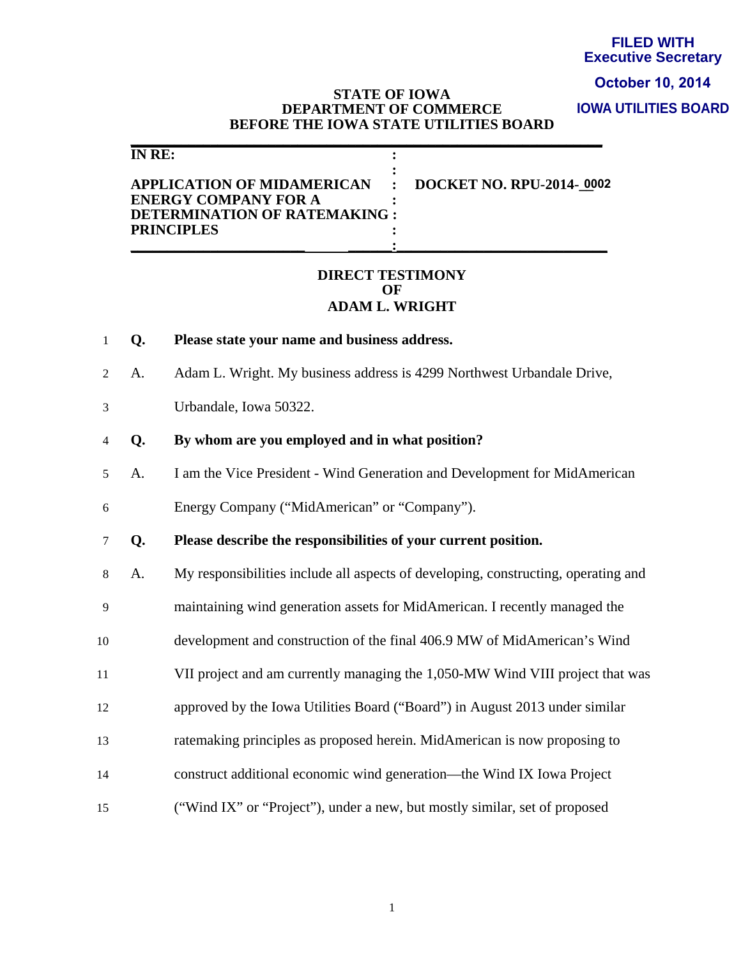### **FILED WITH Executive Secretary**

# **October 10, 2014**

**IOWA UTILITIES BOARD**

### **STATE OF IOWA DEPARTMENT OF COMMERCE BEFORE THE IOWA STATE UTILITIES BOARD**

| IN RE:                                                                                                                                     |  |
|--------------------------------------------------------------------------------------------------------------------------------------------|--|
| APPLICATION OF MIDAMERICAN : DOCKET NO. RPU-2014-0002<br><b>ENERGY COMPANY FOR A</b><br>DETERMINATION OF RATEMAKING :<br><b>PRINCIPLES</b> |  |
|                                                                                                                                            |  |

**\_\_\_\_\_\_\_\_\_\_\_\_\_\_\_\_\_\_\_\_\_\_\_\_\_\_\_\_\_\_\_\_\_\_\_\_\_\_\_\_\_\_\_\_\_\_\_\_\_\_\_\_\_\_\_\_\_\_\_\_\_\_\_\_\_** 

### **DIRECT TESTIMONY OF ADAM L. WRIGHT**

1 **Q. Please state your name and business address.** 

2 A. Adam L. Wright. My business address is 4299 Northwest Urbandale Drive,

3 Urbandale, Iowa 50322.

### 4 **Q. By whom are you employed and in what position?**

5 A. I am the Vice President - Wind Generation and Development for MidAmerican

6 Energy Company ("MidAmerican" or "Company").

7 **Q. Please describe the responsibilities of your current position.** 

8 A. My responsibilities include all aspects of developing, constructing, operating and

9 maintaining wind generation assets for MidAmerican. I recently managed the

10 development and construction of the final 406.9 MW of MidAmerican's Wind

11 VII project and am currently managing the 1,050-MW Wind VIII project that was

12 approved by the Iowa Utilities Board ("Board") in August 2013 under similar

13 ratemaking principles as proposed herein. MidAmerican is now proposing to

- 14 construct additional economic wind generation—the Wind IX Iowa Project
- 15 ("Wind IX" or "Project"), under a new, but mostly similar, set of proposed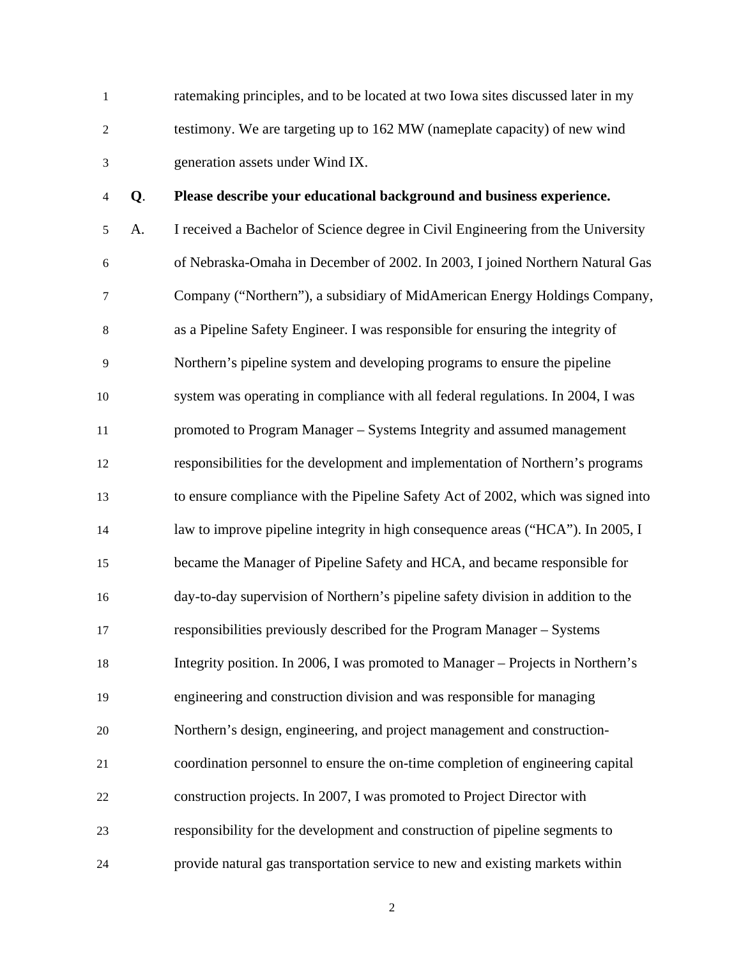1 ratemaking principles, and to be located at two Iowa sites discussed later in my 2 testimony. We are targeting up to 162 MW (nameplate capacity) of new wind 3 generation assets under Wind IX.

### 4 **Q**. **Please describe your educational background and business experience.**

5 A. I received a Bachelor of Science degree in Civil Engineering from the University 6 of Nebraska-Omaha in December of 2002. In 2003, I joined Northern Natural Gas 7 Company ("Northern"), a subsidiary of MidAmerican Energy Holdings Company, 8 as a Pipeline Safety Engineer. I was responsible for ensuring the integrity of 9 Northern's pipeline system and developing programs to ensure the pipeline 10 system was operating in compliance with all federal regulations. In 2004, I was 11 promoted to Program Manager – Systems Integrity and assumed management 12 responsibilities for the development and implementation of Northern's programs 13 to ensure compliance with the Pipeline Safety Act of 2002, which was signed into 14 law to improve pipeline integrity in high consequence areas ("HCA"). In 2005, I 15 became the Manager of Pipeline Safety and HCA, and became responsible for 16 day-to-day supervision of Northern's pipeline safety division in addition to the 17 responsibilities previously described for the Program Manager – Systems 18 Integrity position. In 2006, I was promoted to Manager – Projects in Northern's 19 engineering and construction division and was responsible for managing 20 Northern's design, engineering, and project management and construction-21 coordination personnel to ensure the on-time completion of engineering capital 22 construction projects. In 2007, I was promoted to Project Director with 23 responsibility for the development and construction of pipeline segments to 24 provide natural gas transportation service to new and existing markets within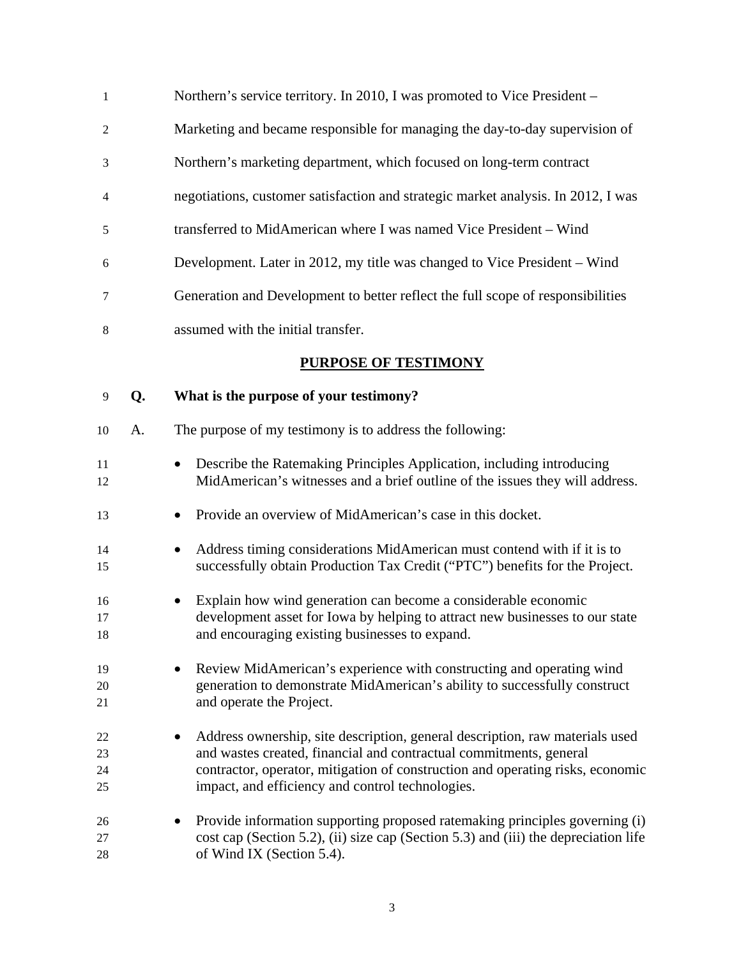| 1              | Northern's service territory. In 2010, I was promoted to Vice President –         |
|----------------|-----------------------------------------------------------------------------------|
| 2              | Marketing and became responsible for managing the day-to-day supervision of       |
| 3              | Northern's marketing department, which focused on long-term contract              |
| $\overline{4}$ | negotiations, customer satisfaction and strategic market analysis. In 2012, I was |
| 5              | transferred to MidAmerican where I was named Vice President – Wind                |
| 6              | Development. Later in 2012, my title was changed to Vice President – Wind         |
| 7              | Generation and Development to better reflect the full scope of responsibilities   |
| 8              | assumed with the initial transfer.                                                |
|                | PURPOSE OF TESTIMONY                                                              |
|                |                                                                                   |

9 **Q. What is the purpose of your testimony?**  10 A. The purpose of my testimony is to address the following: 11 • Describe the Ratemaking Principles Application, including introducing 12 MidAmerican's witnesses and a brief outline of the issues they will address. 13 • Provide an overview of MidAmerican's case in this docket. 14 • Address timing considerations MidAmerican must contend with if it is to 15 successfully obtain Production Tax Credit ("PTC") benefits for the Project. 16 • Explain how wind generation can become a considerable economic 17 development asset for Iowa by helping to attract new businesses to our state 18 and encouraging existing businesses to expand. 19 • Review MidAmerican's experience with constructing and operating wind 20 generation to demonstrate MidAmerican's ability to successfully construct 21 and operate the Project. 22 • Address ownership, site description, general description, raw materials used 23 and wastes created, financial and contractual commitments, general 24 contractor, operator, mitigation of construction and operating risks, economic 25 impact, and efficiency and control technologies. 26 • Provide information supporting proposed ratemaking principles governing (i) 27 cost cap (Section 5.2), (ii) size cap (Section 5.3) and (iii) the depreciation life 28 of Wind IX (Section 5.4).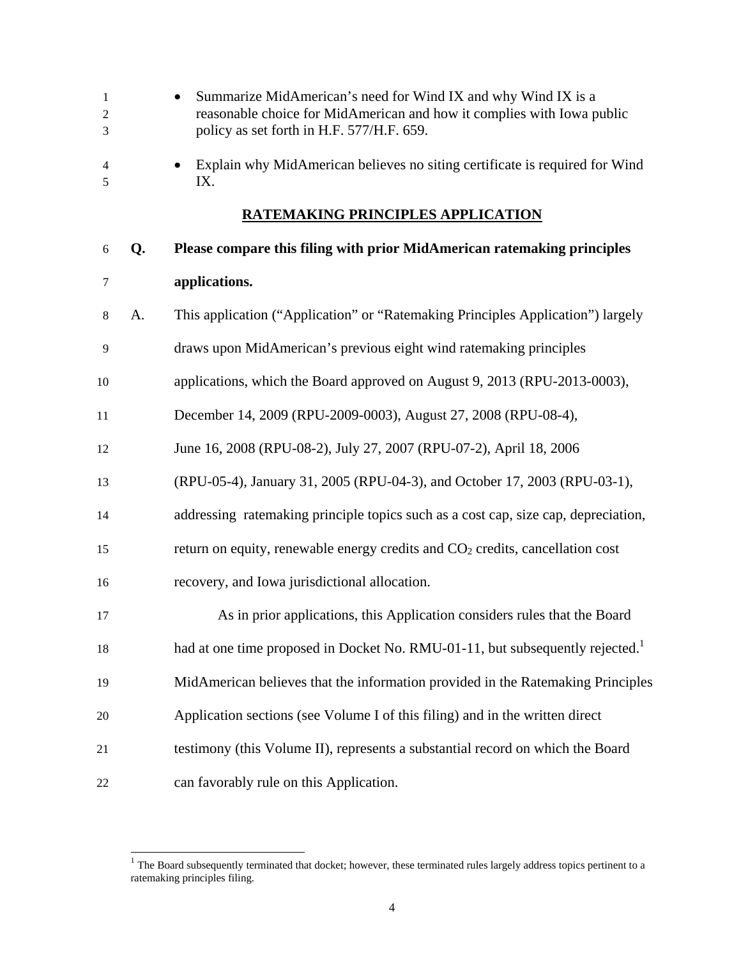- 1 Summarize MidAmerican's need for Wind IX and why Wind IX is a 2 reasonable choice for MidAmerican and how it complies with Iowa public 3 policy as set forth in H.F. 577/H.F. 659.
- 4 Explain why MidAmerican believes no siting certificate is required for Wind 5 IX.

### **RATEMAKING PRINCIPLES APPLICATION**

### 6 **Q. Please compare this filing with prior MidAmerican ratemaking principles**

### 7 **applications.**

- 8 A. This application ("Application" or "Ratemaking Principles Application") largely
- 9 draws upon MidAmerican's previous eight wind ratemaking principles
- 10 applications, which the Board approved on August 9, 2013 (RPU-2013-0003),
- 11 December 14, 2009 (RPU-2009-0003), August 27, 2008 (RPU-08-4),
- 12 June 16, 2008 (RPU-08-2), July 27, 2007 (RPU-07-2), April 18, 2006
- 13 (RPU-05-4), January 31, 2005 (RPU-04-3), and October 17, 2003 (RPU-03-1),
- 14 addressing ratemaking principle topics such as a cost cap, size cap, depreciation,
- 15 return on equity, renewable energy credits and  $CO<sub>2</sub>$  credits, cancellation cost
- 16 recovery, and Iowa jurisdictional allocation.
- 17 As in prior applications, this Application considers rules that the Board
- had at one time proposed in Docket No. RMU-01-11, but subsequently rejected.<sup>1</sup>
- 19 MidAmerican believes that the information provided in the Ratemaking Principles
- 20 Application sections (see Volume I of this filing) and in the written direct
- 21 testimony (this Volume II), represents a substantial record on which the Board
- 22 can favorably rule on this Application.

 $\overline{\phantom{a}}$ 

 $1$  The Board subsequently terminated that docket; however, these terminated rules largely address topics pertinent to a ratemaking principles filing.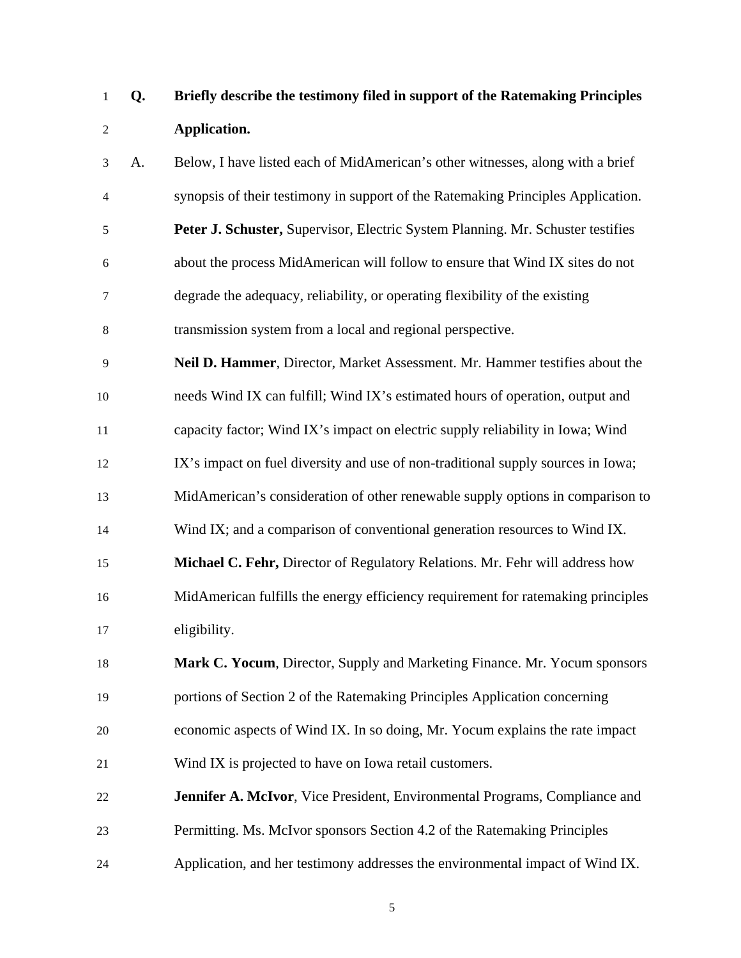# 1 **Q. Briefly describe the testimony filed in support of the Ratemaking Principles**  2 **Application.**

3 A. Below, I have listed each of MidAmerican's other witnesses, along with a brief 4 synopsis of their testimony in support of the Ratemaking Principles Application. 5 **Peter J. Schuster,** Supervisor, Electric System Planning. Mr. Schuster testifies 6 about the process MidAmerican will follow to ensure that Wind IX sites do not 7 degrade the adequacy, reliability, or operating flexibility of the existing 8 transmission system from a local and regional perspective.

- 9 **Neil D. Hammer**, Director, Market Assessment. Mr. Hammer testifies about the 10 needs Wind IX can fulfill; Wind IX's estimated hours of operation, output and 11 capacity factor; Wind IX's impact on electric supply reliability in Iowa; Wind
- 12 IX's impact on fuel diversity and use of non-traditional supply sources in Iowa;
- 13 MidAmerican's consideration of other renewable supply options in comparison to
- 14 Wind IX; and a comparison of conventional generation resources to Wind IX.
- 15 **Michael C. Fehr,** Director of Regulatory Relations. Mr. Fehr will address how 16 MidAmerican fulfills the energy efficiency requirement for ratemaking principles 17 eligibility.
- 18 **Mark C. Yocum**, Director, Supply and Marketing Finance. Mr. Yocum sponsors 19 portions of Section 2 of the Ratemaking Principles Application concerning 20 economic aspects of Wind IX. In so doing, Mr. Yocum explains the rate impact 21 Wind IX is projected to have on Iowa retail customers.
- 22 **Jennifer A. McIvor**, Vice President, Environmental Programs, Compliance and 23 Permitting. Ms. McIvor sponsors Section 4.2 of the Ratemaking Principles 24 Application, and her testimony addresses the environmental impact of Wind IX.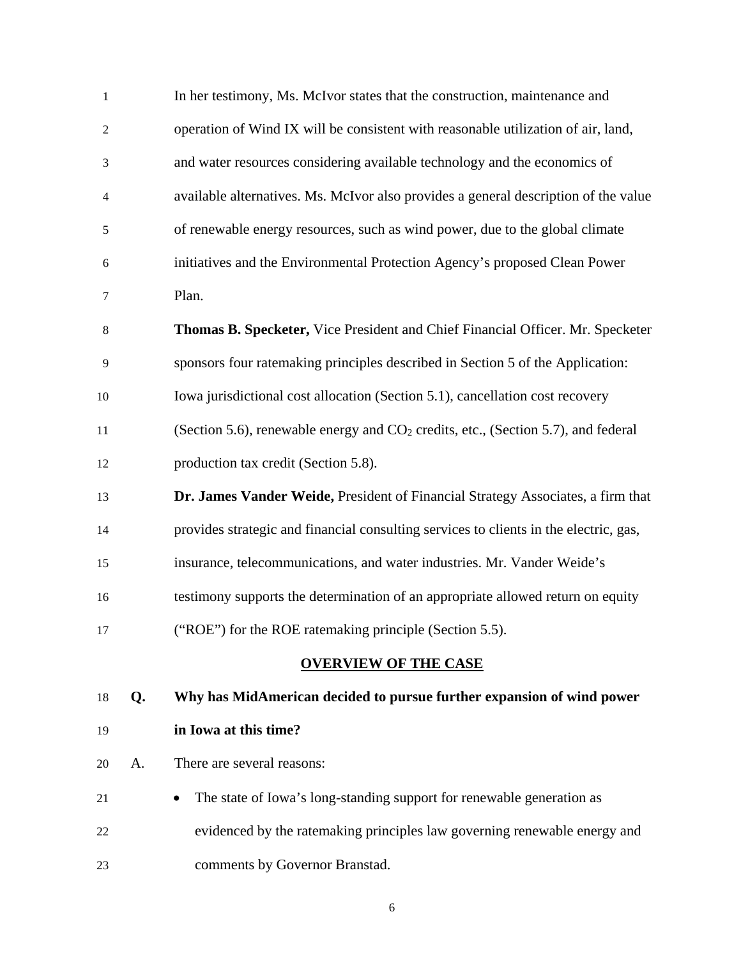| $1\,$          |    | In her testimony, Ms. McIvor states that the construction, maintenance and            |
|----------------|----|---------------------------------------------------------------------------------------|
| $\overline{c}$ |    | operation of Wind IX will be consistent with reasonable utilization of air, land,     |
| 3              |    | and water resources considering available technology and the economics of             |
| 4              |    | available alternatives. Ms. McIvor also provides a general description of the value   |
| 5              |    | of renewable energy resources, such as wind power, due to the global climate          |
| 6              |    | initiatives and the Environmental Protection Agency's proposed Clean Power            |
| 7              |    | Plan.                                                                                 |
| 8              |    | Thomas B. Specketer, Vice President and Chief Financial Officer. Mr. Specketer        |
| 9              |    | sponsors four ratemaking principles described in Section 5 of the Application:        |
| 10             |    | Iowa jurisdictional cost allocation (Section 5.1), cancellation cost recovery         |
| 11             |    | (Section 5.6), renewable energy and $CO2$ credits, etc., (Section 5.7), and federal   |
| 12             |    | production tax credit (Section 5.8).                                                  |
| 13             |    | Dr. James Vander Weide, President of Financial Strategy Associates, a firm that       |
| 14             |    | provides strategic and financial consulting services to clients in the electric, gas, |
| 15             |    | insurance, telecommunications, and water industries. Mr. Vander Weide's               |
| 16             |    | testimony supports the determination of an appropriate allowed return on equity       |
| 17             |    | ("ROE") for the ROE ratemaking principle (Section 5.5).                               |
|                |    | <b>OVERVIEW OF THE CASE</b>                                                           |
| 18             | Q. | Why has MidAmerican decided to pursue further expansion of wind power                 |
| 19             |    | in Iowa at this time?                                                                 |
| 20             | A. | There are several reasons:                                                            |
| 21             |    | The state of Iowa's long-standing support for renewable generation as                 |
| 22             |    | evidenced by the ratemaking principles law governing renewable energy and             |
| 23             |    | comments by Governor Branstad.                                                        |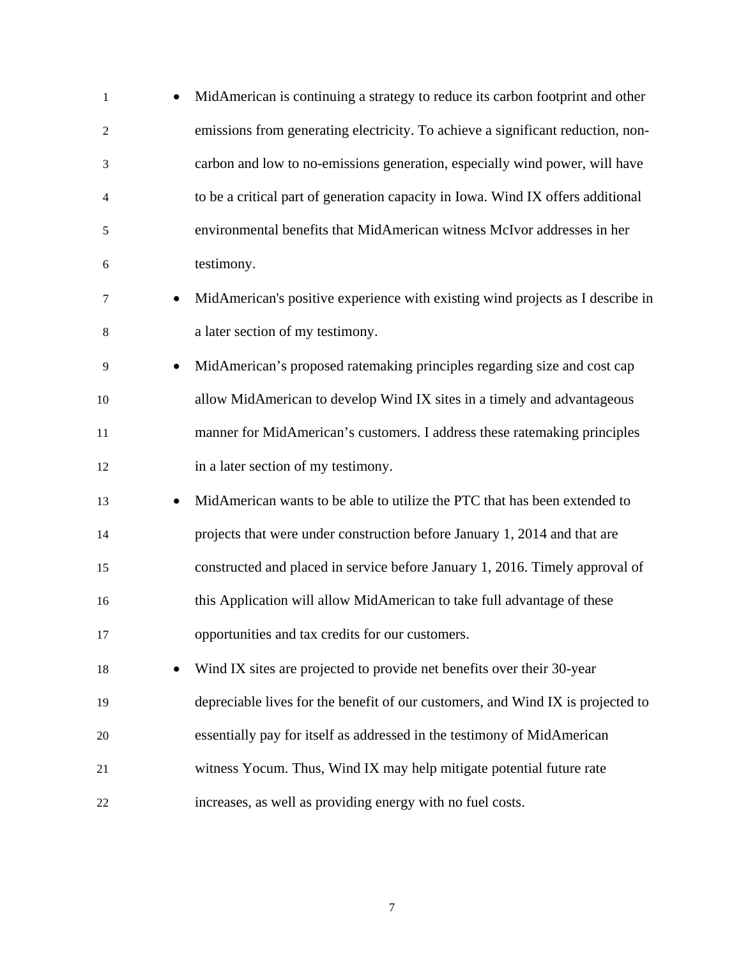| $\mathbf{1}$   | $\bullet$ | MidAmerican is continuing a strategy to reduce its carbon footprint and other   |
|----------------|-----------|---------------------------------------------------------------------------------|
| $\overline{2}$ |           | emissions from generating electricity. To achieve a significant reduction, non- |
| 3              |           | carbon and low to no-emissions generation, especially wind power, will have     |
| 4              |           | to be a critical part of generation capacity in Iowa. Wind IX offers additional |
| 5              |           | environmental benefits that MidAmerican witness McIvor addresses in her         |
| 6              |           | testimony.                                                                      |
| 7              | $\bullet$ | MidAmerican's positive experience with existing wind projects as I describe in  |
| 8              |           | a later section of my testimony.                                                |
| 9              | $\bullet$ | MidAmerican's proposed ratemaking principles regarding size and cost cap        |
| 10             |           | allow MidAmerican to develop Wind IX sites in a timely and advantageous         |
| 11             |           | manner for MidAmerican's customers. I address these ratemaking principles       |
| 12             |           | in a later section of my testimony.                                             |
| 13             | $\bullet$ | MidAmerican wants to be able to utilize the PTC that has been extended to       |
| 14             |           | projects that were under construction before January 1, 2014 and that are       |
| 15             |           | constructed and placed in service before January 1, 2016. Timely approval of    |
| 16             |           | this Application will allow MidAmerican to take full advantage of these         |
| 17             |           | opportunities and tax credits for our customers.                                |
| 18             |           | Wind IX sites are projected to provide net benefits over their 30-year          |
| 19             |           | depreciable lives for the benefit of our customers, and Wind IX is projected to |
| 20             |           | essentially pay for itself as addressed in the testimony of MidAmerican         |
| 21             |           | witness Yocum. Thus, Wind IX may help mitigate potential future rate            |
| 22             |           | increases, as well as providing energy with no fuel costs.                      |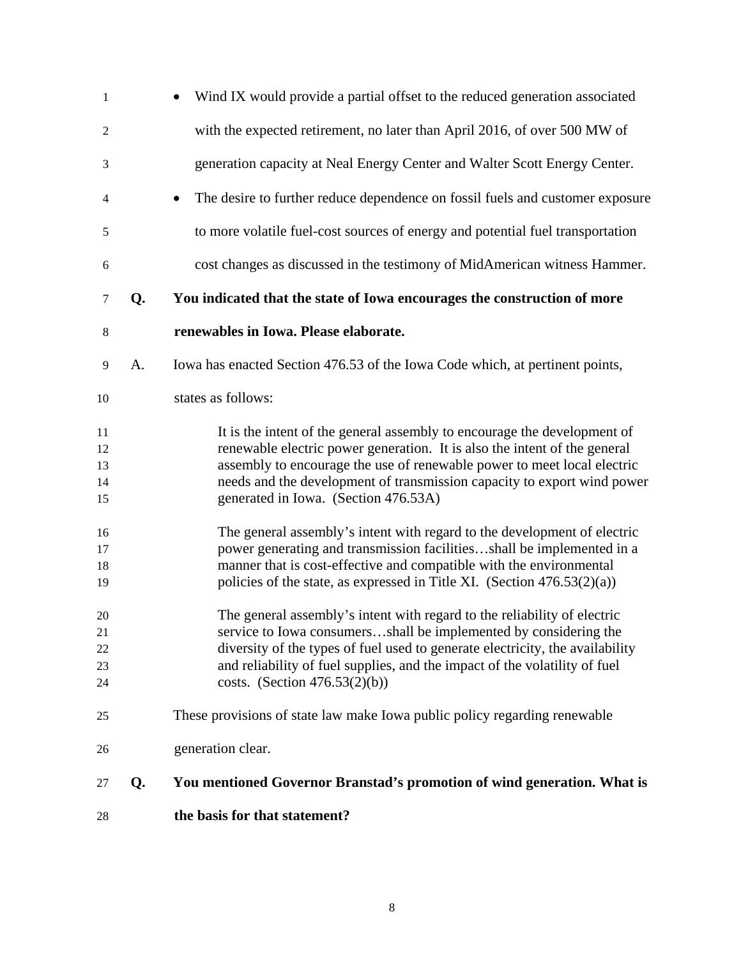| $\mathbf{1}$               |    | Wind IX would provide a partial offset to the reduced generation associated                                                                                                                                                                                                                                                                         |
|----------------------------|----|-----------------------------------------------------------------------------------------------------------------------------------------------------------------------------------------------------------------------------------------------------------------------------------------------------------------------------------------------------|
| $\overline{c}$             |    | with the expected retirement, no later than April 2016, of over 500 MW of                                                                                                                                                                                                                                                                           |
| $\mathfrak{Z}$             |    | generation capacity at Neal Energy Center and Walter Scott Energy Center.                                                                                                                                                                                                                                                                           |
| 4                          |    | The desire to further reduce dependence on fossil fuels and customer exposure<br>$\bullet$                                                                                                                                                                                                                                                          |
| 5                          |    | to more volatile fuel-cost sources of energy and potential fuel transportation                                                                                                                                                                                                                                                                      |
| 6                          |    | cost changes as discussed in the testimony of MidAmerican witness Hammer.                                                                                                                                                                                                                                                                           |
| 7                          | Q. | You indicated that the state of Iowa encourages the construction of more                                                                                                                                                                                                                                                                            |
| 8                          |    | renewables in Iowa. Please elaborate.                                                                                                                                                                                                                                                                                                               |
| 9                          | A. | Iowa has enacted Section 476.53 of the Iowa Code which, at pertinent points,                                                                                                                                                                                                                                                                        |
| 10                         |    | states as follows:                                                                                                                                                                                                                                                                                                                                  |
| 11<br>12<br>13<br>14<br>15 |    | It is the intent of the general assembly to encourage the development of<br>renewable electric power generation. It is also the intent of the general<br>assembly to encourage the use of renewable power to meet local electric<br>needs and the development of transmission capacity to export wind power<br>generated in Iowa. (Section 476.53A) |
| 16<br>17<br>18<br>19       |    | The general assembly's intent with regard to the development of electric<br>power generating and transmission facilitiesshall be implemented in a<br>manner that is cost-effective and compatible with the environmental<br>policies of the state, as expressed in Title XI. (Section $476.53(2)(a)$ )                                              |
| 20<br>21<br>22<br>23<br>24 |    | The general assembly's intent with regard to the reliability of electric<br>service to Iowa consumersshall be implemented by considering the<br>diversity of the types of fuel used to generate electricity, the availability<br>and reliability of fuel supplies, and the impact of the volatility of fuel<br>costs. (Section $476.53(2)(b)$ )     |
| 25                         |    | These provisions of state law make Iowa public policy regarding renewable                                                                                                                                                                                                                                                                           |
| 26                         |    | generation clear.                                                                                                                                                                                                                                                                                                                                   |
| 27                         | Q. | You mentioned Governor Branstad's promotion of wind generation. What is                                                                                                                                                                                                                                                                             |
| 28                         |    | the basis for that statement?                                                                                                                                                                                                                                                                                                                       |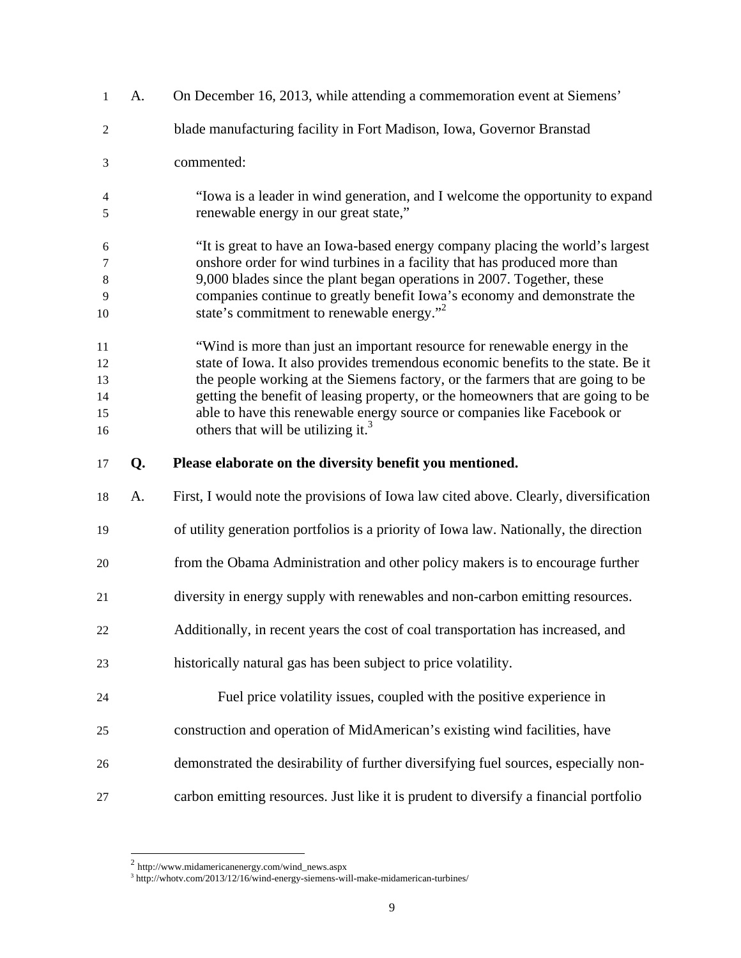| 1                                | A. | On December 16, 2013, while attending a commemoration event at Siemens'                                                                                                                                                                                                                                                                                                                                                                                         |
|----------------------------------|----|-----------------------------------------------------------------------------------------------------------------------------------------------------------------------------------------------------------------------------------------------------------------------------------------------------------------------------------------------------------------------------------------------------------------------------------------------------------------|
| $\overline{2}$                   |    | blade manufacturing facility in Fort Madison, Iowa, Governor Branstad                                                                                                                                                                                                                                                                                                                                                                                           |
| 3                                |    | commented:                                                                                                                                                                                                                                                                                                                                                                                                                                                      |
| $\overline{4}$<br>5              |    | "Iowa is a leader in wind generation, and I welcome the opportunity to expand<br>renewable energy in our great state,"                                                                                                                                                                                                                                                                                                                                          |
| 6<br>7<br>8<br>9<br>10           |    | "It is great to have an Iowa-based energy company placing the world's largest<br>onshore order for wind turbines in a facility that has produced more than<br>9,000 blades since the plant began operations in 2007. Together, these<br>companies continue to greatly benefit Iowa's economy and demonstrate the<br>state's commitment to renewable energy." <sup>2</sup>                                                                                       |
| 11<br>12<br>13<br>14<br>15<br>16 |    | "Wind is more than just an important resource for renewable energy in the<br>state of Iowa. It also provides tremendous economic benefits to the state. Be it<br>the people working at the Siemens factory, or the farmers that are going to be<br>getting the benefit of leasing property, or the homeowners that are going to be<br>able to have this renewable energy source or companies like Facebook or<br>others that will be utilizing it. <sup>3</sup> |
|                                  |    |                                                                                                                                                                                                                                                                                                                                                                                                                                                                 |
| 17                               | Q. | Please elaborate on the diversity benefit you mentioned.                                                                                                                                                                                                                                                                                                                                                                                                        |
| 18                               | A. | First, I would note the provisions of Iowa law cited above. Clearly, diversification                                                                                                                                                                                                                                                                                                                                                                            |
| 19                               |    | of utility generation portfolios is a priority of Iowa law. Nationally, the direction                                                                                                                                                                                                                                                                                                                                                                           |
| 20                               |    | from the Obama Administration and other policy makers is to encourage further                                                                                                                                                                                                                                                                                                                                                                                   |
| 21                               |    | diversity in energy supply with renewables and non-carbon emitting resources.                                                                                                                                                                                                                                                                                                                                                                                   |
| 22                               |    | Additionally, in recent years the cost of coal transportation has increased, and                                                                                                                                                                                                                                                                                                                                                                                |
| 23                               |    | historically natural gas has been subject to price volatility.                                                                                                                                                                                                                                                                                                                                                                                                  |
| 24                               |    | Fuel price volatility issues, coupled with the positive experience in                                                                                                                                                                                                                                                                                                                                                                                           |
| 25                               |    | construction and operation of MidAmerican's existing wind facilities, have                                                                                                                                                                                                                                                                                                                                                                                      |
| 26                               |    | demonstrated the desirability of further diversifying fuel sources, especially non-                                                                                                                                                                                                                                                                                                                                                                             |

 $\overline{\phantom{a}}$ 

 $^2$  http://www.midamericanenergy.com/wind\_news.aspx<br><sup>3</sup> http://whotv.com/2013/12/16/wind-energy-siemens-will-make-midamerican-turbines/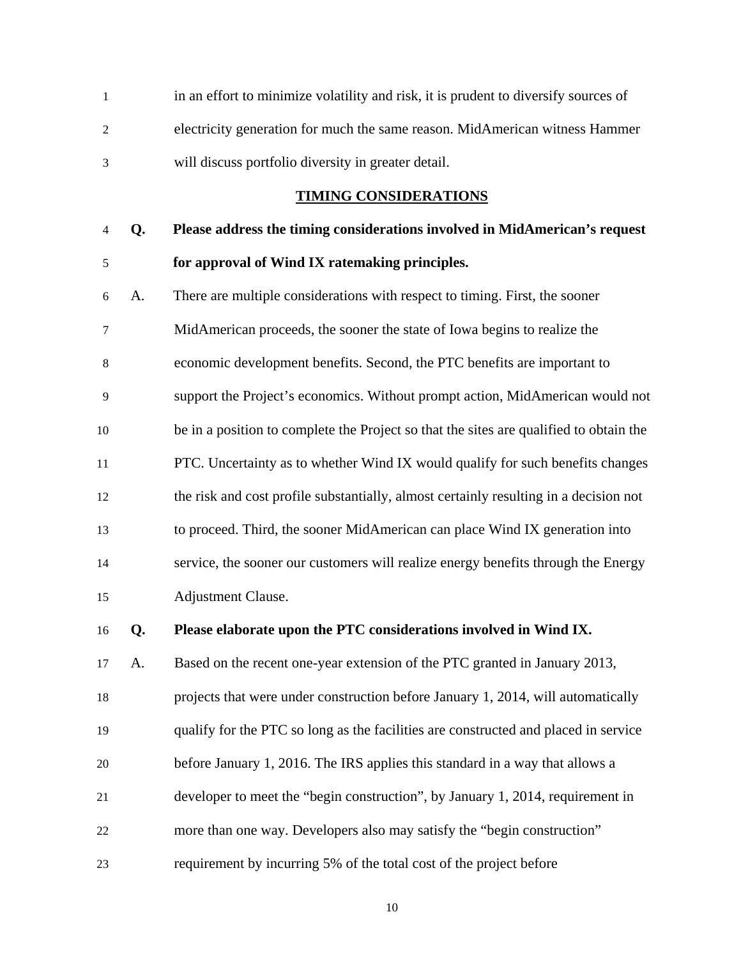| in an effort to minimize volatility and risk, it is prudent to diversify sources of |
|-------------------------------------------------------------------------------------|
| electricity generation for much the same reason. MidAmerican witness Hammer         |
| will discuss portfolio diversity in greater detail.                                 |

### **TIMING CONSIDERATIONS**

# 4 **Q. Please address the timing considerations involved in MidAmerican's request**  5 **for approval of Wind IX ratemaking principles.**

6 A. There are multiple considerations with respect to timing. First, the sooner 7 MidAmerican proceeds, the sooner the state of Iowa begins to realize the 8 economic development benefits. Second, the PTC benefits are important to 9 support the Project's economics. Without prompt action, MidAmerican would not 10 be in a position to complete the Project so that the sites are qualified to obtain the 11 PTC. Uncertainty as to whether Wind IX would qualify for such benefits changes 12 the risk and cost profile substantially, almost certainly resulting in a decision not 13 to proceed. Third, the sooner MidAmerican can place Wind IX generation into 14 service, the sooner our customers will realize energy benefits through the Energy 15 Adjustment Clause.

16 **Q. Please elaborate upon the PTC considerations involved in Wind IX.** 

17 A. Based on the recent one-year extension of the PTC granted in January 2013, 18 projects that were under construction before January 1, 2014, will automatically 19 qualify for the PTC so long as the facilities are constructed and placed in service 20 before January 1, 2016. The IRS applies this standard in a way that allows a 21 developer to meet the "begin construction", by January 1, 2014, requirement in 22 more than one way. Developers also may satisfy the "begin construction" 23 requirement by incurring 5% of the total cost of the project before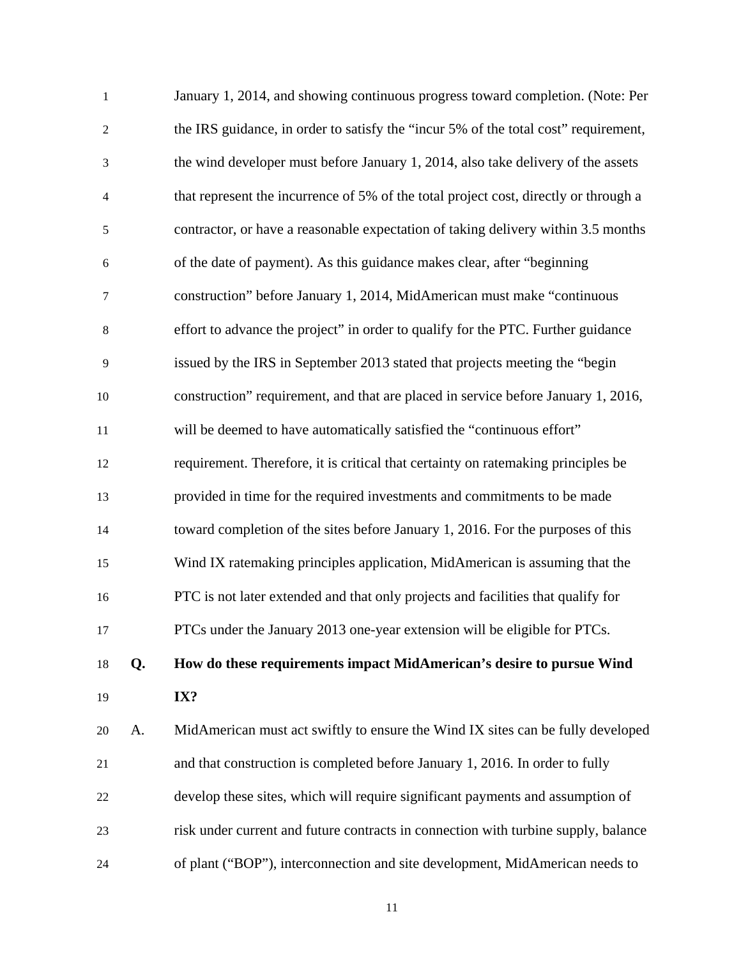| $\mathbf{1}$     |    | January 1, 2014, and showing continuous progress toward completion. (Note: Per       |
|------------------|----|--------------------------------------------------------------------------------------|
| $\overline{2}$   |    | the IRS guidance, in order to satisfy the "incur 5% of the total cost" requirement,  |
| 3                |    | the wind developer must before January 1, 2014, also take delivery of the assets     |
| $\overline{4}$   |    | that represent the incurrence of 5% of the total project cost, directly or through a |
| $\mathfrak s$    |    | contractor, or have a reasonable expectation of taking delivery within 3.5 months    |
| 6                |    | of the date of payment). As this guidance makes clear, after "beginning              |
| $\boldsymbol{7}$ |    | construction" before January 1, 2014, MidAmerican must make "continuous              |
| $\,8\,$          |    | effort to advance the project" in order to qualify for the PTC. Further guidance     |
| 9                |    | issued by the IRS in September 2013 stated that projects meeting the "begin          |
| 10               |    | construction" requirement, and that are placed in service before January 1, 2016,    |
| 11               |    | will be deemed to have automatically satisfied the "continuous effort"               |
| 12               |    | requirement. Therefore, it is critical that certainty on ratemaking principles be    |
| 13               |    | provided in time for the required investments and commitments to be made             |
| 14               |    | toward completion of the sites before January 1, 2016. For the purposes of this      |
| 15               |    | Wind IX ratemaking principles application, MidAmerican is assuming that the          |
| 16               |    | PTC is not later extended and that only projects and facilities that qualify for     |
| 17               |    | PTCs under the January 2013 one-year extension will be eligible for PTCs.            |
| 18               | Q. | How do these requirements impact MidAmerican's desire to pursue Wind                 |
| 19               |    | IX?                                                                                  |
| 20               | A. | MidAmerican must act swiftly to ensure the Wind IX sites can be fully developed      |
| 21               |    | and that construction is completed before January 1, 2016. In order to fully         |
| 22               |    | develop these sites, which will require significant payments and assumption of       |
| 23               |    | risk under current and future contracts in connection with turbine supply, balance   |
| 24               |    | of plant ("BOP"), interconnection and site development, MidAmerican needs to         |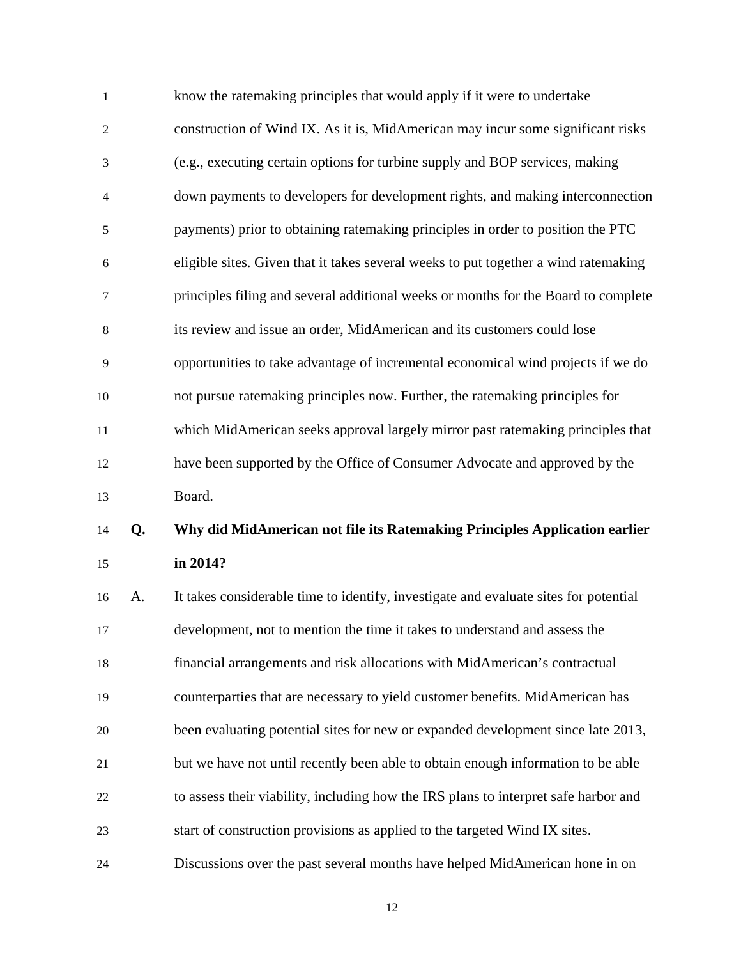| $\mathbf{1}$   |    | know the ratemaking principles that would apply if it were to undertake              |
|----------------|----|--------------------------------------------------------------------------------------|
| $\overline{2}$ |    | construction of Wind IX. As it is, MidAmerican may incur some significant risks      |
| 3              |    | (e.g., executing certain options for turbine supply and BOP services, making         |
| 4              |    | down payments to developers for development rights, and making interconnection       |
| 5              |    | payments) prior to obtaining ratemaking principles in order to position the PTC      |
| 6              |    | eligible sites. Given that it takes several weeks to put together a wind ratemaking  |
| 7              |    | principles filing and several additional weeks or months for the Board to complete   |
| 8              |    | its review and issue an order, MidAmerican and its customers could lose              |
| 9              |    | opportunities to take advantage of incremental economical wind projects if we do     |
| 10             |    | not pursue ratemaking principles now. Further, the ratemaking principles for         |
| 11             |    | which MidAmerican seeks approval largely mirror past ratemaking principles that      |
| 12             |    | have been supported by the Office of Consumer Advocate and approved by the           |
| 13             |    | Board.                                                                               |
| 14             | Q. | Why did MidAmerican not file its Ratemaking Principles Application earlier           |
| 15             |    | in 2014?                                                                             |
| 16             | A. | It takes considerable time to identify, investigate and evaluate sites for potential |
| 17             |    | development, not to mention the time it takes to understand and assess the           |

18 financial arrangements and risk allocations with MidAmerican's contractual

19 counterparties that are necessary to yield customer benefits. MidAmerican has

20 been evaluating potential sites for new or expanded development since late 2013,

- 21 but we have not until recently been able to obtain enough information to be able
- 22 to assess their viability, including how the IRS plans to interpret safe harbor and
- 23 start of construction provisions as applied to the targeted Wind IX sites.

24 Discussions over the past several months have helped MidAmerican hone in on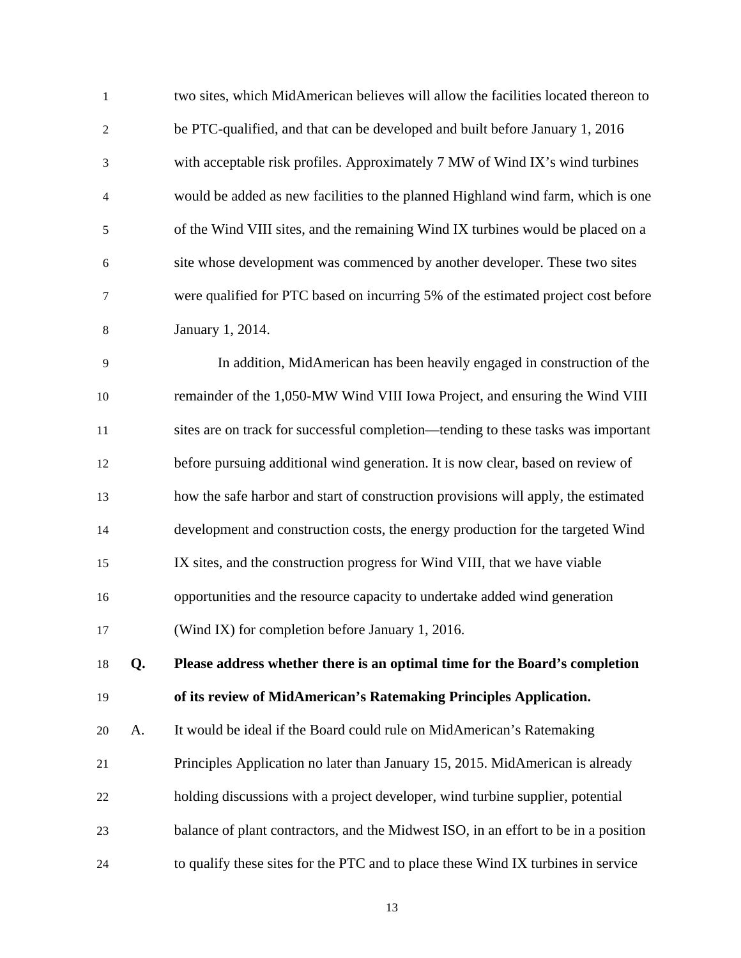| $\mathbf{1}$   | two sites, which MidAmerican believes will allow the facilities located thereon to |
|----------------|------------------------------------------------------------------------------------|
| 2              | be PTC-qualified, and that can be developed and built before January 1, 2016       |
| 3              | with acceptable risk profiles. Approximately 7 MW of Wind IX's wind turbines       |
| $\overline{4}$ | would be added as new facilities to the planned Highland wind farm, which is one   |
| 5              | of the Wind VIII sites, and the remaining Wind IX turbines would be placed on a    |
| 6              | site whose development was commenced by another developer. These two sites         |
| $\overline{7}$ | were qualified for PTC based on incurring 5% of the estimated project cost before  |
| 8              | January 1, 2014.                                                                   |
| 9              | In addition, MidAmerican has been heavily engaged in construction of the           |
| 10             | remainder of the 1,050-MW Wind VIII Iowa Project, and ensuring the Wind VIII       |

11 sites are on track for successful completion—tending to these tasks was important

12 before pursuing additional wind generation. It is now clear, based on review of

13 how the safe harbor and start of construction provisions will apply, the estimated

14 development and construction costs, the energy production for the targeted Wind

15 IX sites, and the construction progress for Wind VIII, that we have viable 16 opportunities and the resource capacity to undertake added wind generation 17 (Wind IX) for completion before January 1, 2016.

18 **Q. Please address whether there is an optimal time for the Board's completion**  19 **of its review of MidAmerican's Ratemaking Principles Application.** 

20 A. It would be ideal if the Board could rule on MidAmerican's Ratemaking

21 Principles Application no later than January 15, 2015. MidAmerican is already

22 holding discussions with a project developer, wind turbine supplier, potential

23 balance of plant contractors, and the Midwest ISO, in an effort to be in a position

24 to qualify these sites for the PTC and to place these Wind IX turbines in service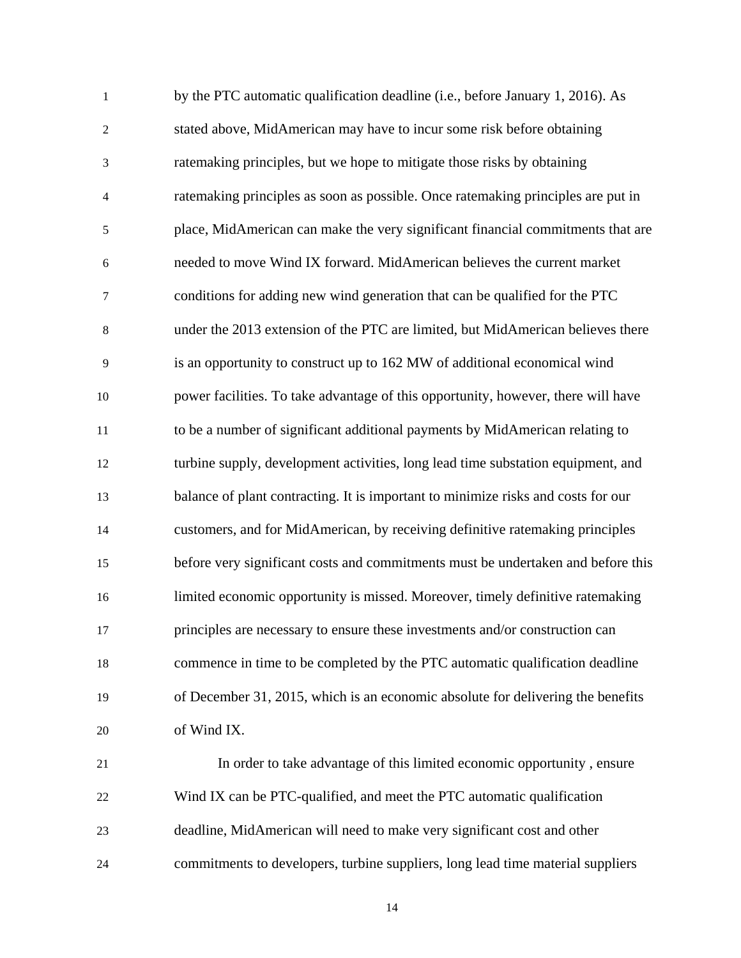| $\mathbf{1}$     | by the PTC automatic qualification deadline (i.e., before January 1, 2016). As    |
|------------------|-----------------------------------------------------------------------------------|
| $\boldsymbol{2}$ | stated above, MidAmerican may have to incur some risk before obtaining            |
| 3                | ratemaking principles, but we hope to mitigate those risks by obtaining           |
| $\overline{4}$   | ratemaking principles as soon as possible. Once ratemaking principles are put in  |
| $\mathfrak s$    | place, MidAmerican can make the very significant financial commitments that are   |
| 6                | needed to move Wind IX forward. MidAmerican believes the current market           |
| $\boldsymbol{7}$ | conditions for adding new wind generation that can be qualified for the PTC       |
| $\,8\,$          | under the 2013 extension of the PTC are limited, but MidAmerican believes there   |
| $\mathbf{9}$     | is an opportunity to construct up to 162 MW of additional economical wind         |
| 10               | power facilities. To take advantage of this opportunity, however, there will have |
| 11               | to be a number of significant additional payments by MidAmerican relating to      |
| 12               | turbine supply, development activities, long lead time substation equipment, and  |
| 13               | balance of plant contracting. It is important to minimize risks and costs for our |
| 14               | customers, and for MidAmerican, by receiving definitive ratemaking principles     |
| 15               | before very significant costs and commitments must be undertaken and before this  |
| 16               | limited economic opportunity is missed. Moreover, timely definitive ratemaking    |
| 17               | principles are necessary to ensure these investments and/or construction can      |
| 18               | commence in time to be completed by the PTC automatic qualification deadline      |
| 19               | of December 31, 2015, which is an economic absolute for delivering the benefits   |
| 20               | of Wind IX.                                                                       |
| 21               | In order to take advantage of this limited economic opportunity, ensure           |
| 22               | Wind IX can be PTC-qualified, and meet the PTC automatic qualification            |
| 23               | deadline, MidAmerican will need to make very significant cost and other           |

24 commitments to developers, turbine suppliers, long lead time material suppliers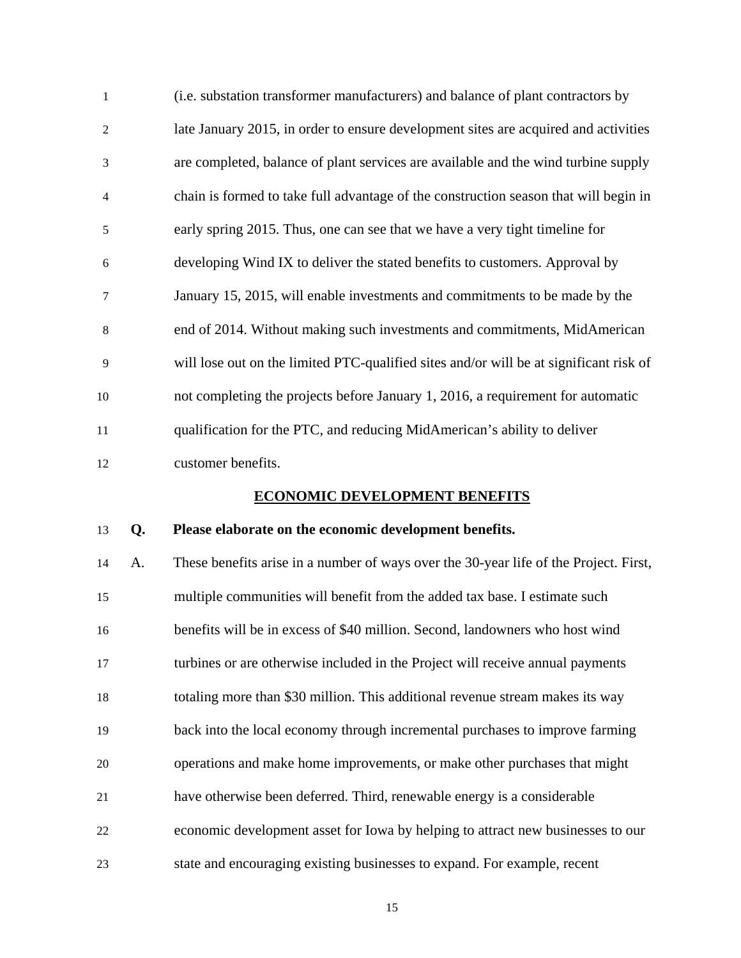| $\mathbf{1}$   | (i.e. substation transformer manufacturers) and balance of plant contractors by        |
|----------------|----------------------------------------------------------------------------------------|
| 2              | late January 2015, in order to ensure development sites are acquired and activities    |
| 3              | are completed, balance of plant services are available and the wind turbine supply     |
| $\overline{4}$ | chain is formed to take full advantage of the construction season that will begin in   |
| 5              | early spring 2015. Thus, one can see that we have a very tight timeline for            |
| 6              | developing Wind IX to deliver the stated benefits to customers. Approval by            |
| $\overline{7}$ | January 15, 2015, will enable investments and commitments to be made by the            |
| 8              | end of 2014. Without making such investments and commitments, MidAmerican              |
| 9              | will lose out on the limited PTC-qualified sites and/or will be at significant risk of |
| 10             | not completing the projects before January 1, 2016, a requirement for automatic        |
| 11             | qualification for the PTC, and reducing MidAmerican's ability to deliver               |
| 12             | customer benefits.                                                                     |

### **ECONOMIC DEVELOPMENT BENEFITS**

### 13 **Q. Please elaborate on the economic development benefits.**

14 A. These benefits arise in a number of ways over the 30-year life of the Project. First, 15 multiple communities will benefit from the added tax base. I estimate such 16 benefits will be in excess of \$40 million. Second, landowners who host wind 17 turbines or are otherwise included in the Project will receive annual payments 18 totaling more than \$30 million. This additional revenue stream makes its way 19 back into the local economy through incremental purchases to improve farming 20 operations and make home improvements, or make other purchases that might 21 have otherwise been deferred. Third, renewable energy is a considerable 22 economic development asset for Iowa by helping to attract new businesses to our 23 state and encouraging existing businesses to expand. For example, recent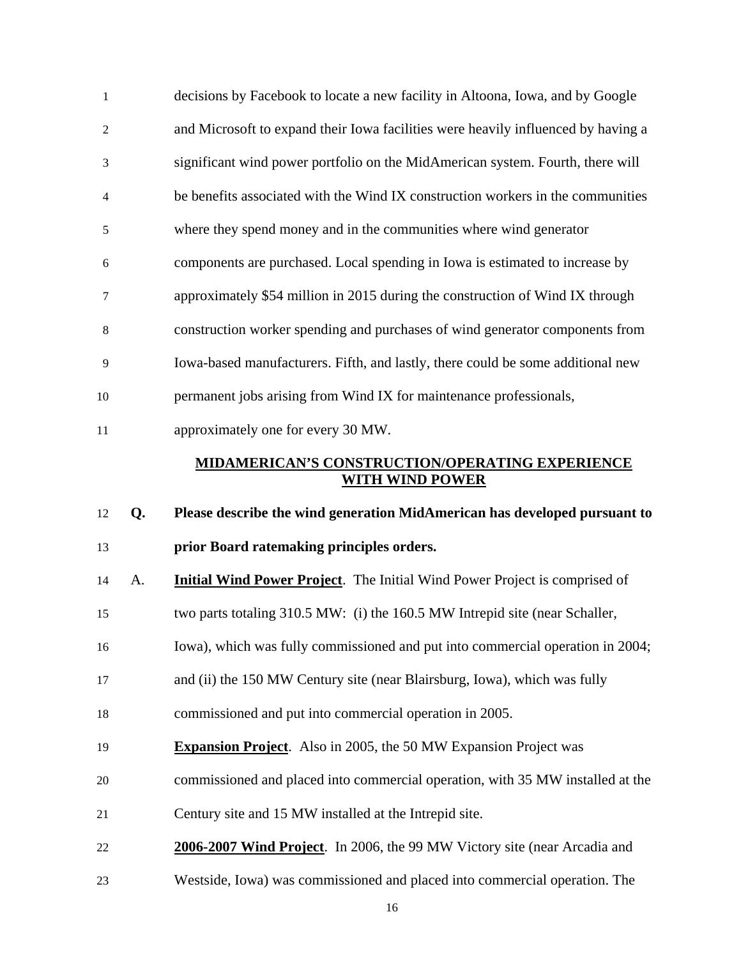| $\mathbf{1}$   |    | decisions by Facebook to locate a new facility in Altoona, Iowa, and by Google    |
|----------------|----|-----------------------------------------------------------------------------------|
| $\overline{c}$ |    | and Microsoft to expand their Iowa facilities were heavily influenced by having a |
| 3              |    | significant wind power portfolio on the MidAmerican system. Fourth, there will    |
| 4              |    | be benefits associated with the Wind IX construction workers in the communities   |
| 5              |    | where they spend money and in the communities where wind generator                |
| 6              |    | components are purchased. Local spending in Iowa is estimated to increase by      |
| $\tau$         |    | approximately \$54 million in 2015 during the construction of Wind IX through     |
| $\,8\,$        |    | construction worker spending and purchases of wind generator components from      |
| 9              |    | Iowa-based manufacturers. Fifth, and lastly, there could be some additional new   |
| 10             |    | permanent jobs arising from Wind IX for maintenance professionals,                |
| 11             |    | approximately one for every 30 MW.                                                |
|                |    | <b>MIDAMERICAN'S CONSTRUCTION/OPERATING EXPERIENCE</b>                            |
|                |    |                                                                                   |
|                |    | <b>WITH WIND POWER</b>                                                            |
| 12             | Q. | Please describe the wind generation MidAmerican has developed pursuant to         |
| 13             |    | prior Board ratemaking principles orders.                                         |
| 14             | A. | <b>Initial Wind Power Project.</b> The Initial Wind Power Project is comprised of |
| 15             |    | two parts totaling 310.5 MW: (i) the 160.5 MW Intrepid site (near Schaller,       |
| 16             |    | Iowa), which was fully commissioned and put into commercial operation in 2004;    |
| 17             |    | and (ii) the 150 MW Century site (near Blairsburg, Iowa), which was fully         |
| 18             |    | commissioned and put into commercial operation in 2005.                           |
| 19             |    | <b>Expansion Project.</b> Also in 2005, the 50 MW Expansion Project was           |
| 20             |    | commissioned and placed into commercial operation, with 35 MW installed at the    |
| 21             |    | Century site and 15 MW installed at the Intrepid site.                            |
| 22             |    | 2006-2007 Wind Project. In 2006, the 99 MW Victory site (near Arcadia and         |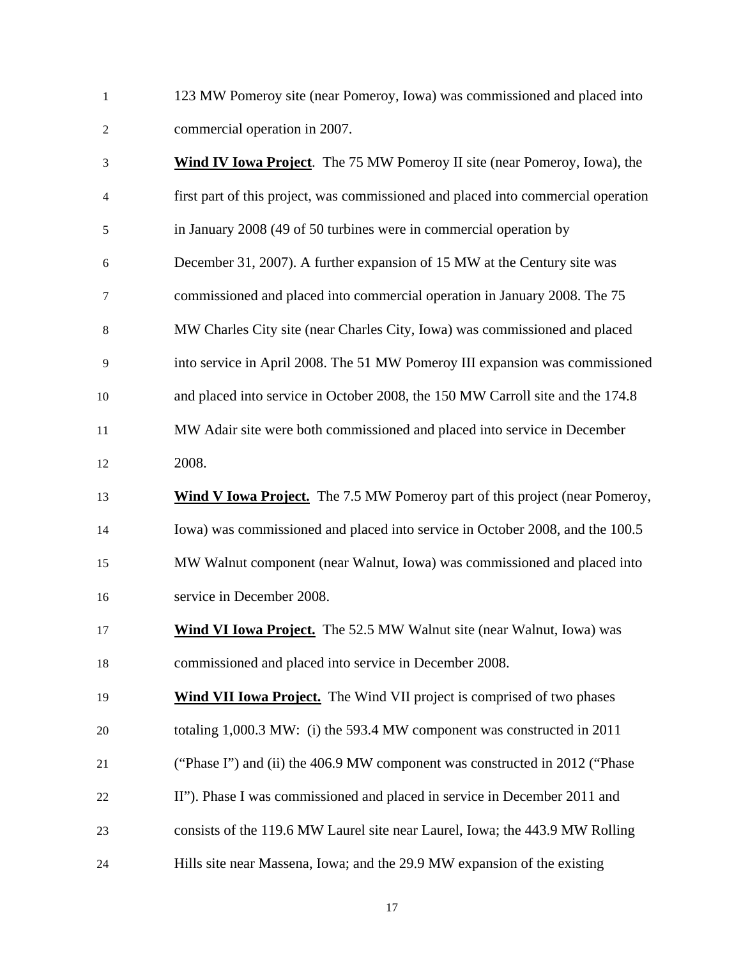1 123 MW Pomeroy site (near Pomeroy, Iowa) was commissioned and placed into 2 commercial operation in 2007.

| 3       | <b>Wind IV Iowa Project.</b> The 75 MW Pomeroy II site (near Pomeroy, Iowa), the   |
|---------|------------------------------------------------------------------------------------|
| 4       | first part of this project, was commissioned and placed into commercial operation  |
| 5       | in January 2008 (49 of 50 turbines were in commercial operation by                 |
| 6       | December 31, 2007). A further expansion of 15 MW at the Century site was           |
| 7       | commissioned and placed into commercial operation in January 2008. The 75          |
| $\,8\,$ | MW Charles City site (near Charles City, Iowa) was commissioned and placed         |
| 9       | into service in April 2008. The 51 MW Pomeroy III expansion was commissioned       |
| 10      | and placed into service in October 2008, the 150 MW Carroll site and the 174.8     |
| 11      | MW Adair site were both commissioned and placed into service in December           |
| 12      | 2008.                                                                              |
| 13      | <b>Wind V Iowa Project.</b> The 7.5 MW Pomeroy part of this project (near Pomeroy, |
| 14      | Iowa) was commissioned and placed into service in October 2008, and the 100.5      |
| 15      | MW Walnut component (near Walnut, Iowa) was commissioned and placed into           |
| 16      | service in December 2008.                                                          |
| 17      | Wind VI Iowa Project. The 52.5 MW Walnut site (near Walnut, Iowa) was              |
| 18      | commissioned and placed into service in December 2008.                             |
| 19      | Wind VII Iowa Project. The Wind VII project is comprised of two phases             |
| 20      | totaling 1,000.3 MW: (i) the 593.4 MW component was constructed in 2011            |
| 21      | ("Phase I") and (ii) the 406.9 MW component was constructed in 2012 ("Phase")      |
| 22      | II"). Phase I was commissioned and placed in service in December 2011 and          |
| 23      | consists of the 119.6 MW Laurel site near Laurel, Iowa; the 443.9 MW Rolling       |
| 24      | Hills site near Massena, Iowa; and the 29.9 MW expansion of the existing           |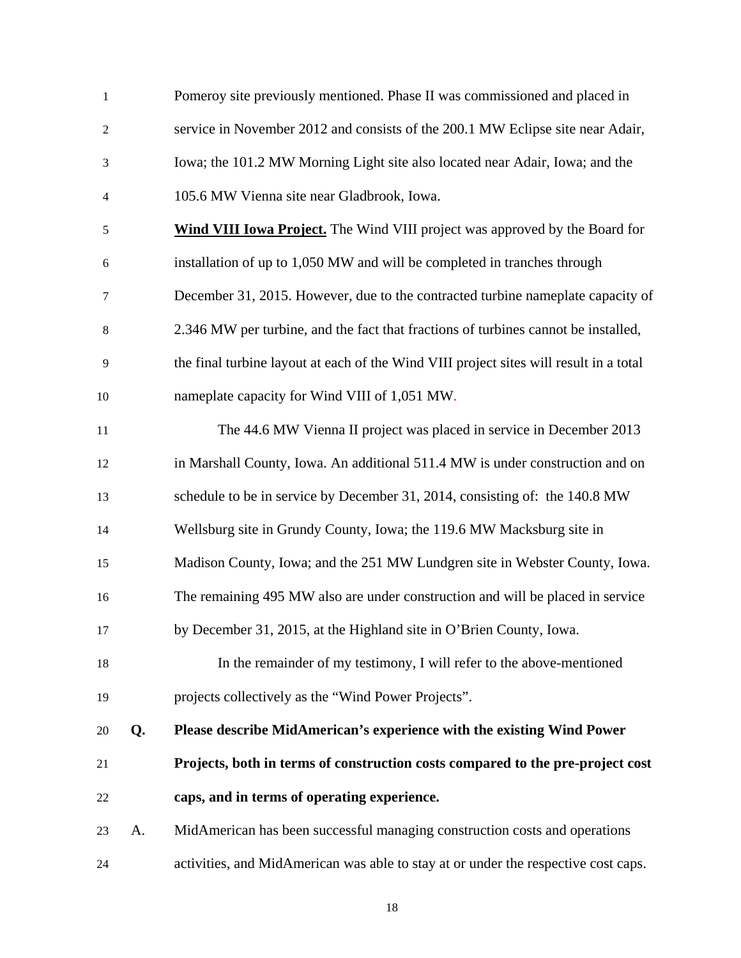| $\mathbf{1}$   |    | Pomeroy site previously mentioned. Phase II was commissioned and placed in             |
|----------------|----|----------------------------------------------------------------------------------------|
| $\overline{c}$ |    | service in November 2012 and consists of the 200.1 MW Eclipse site near Adair,         |
| $\mathfrak{Z}$ |    | Iowa; the 101.2 MW Morning Light site also located near Adair, Iowa; and the           |
| $\overline{4}$ |    | 105.6 MW Vienna site near Gladbrook, Iowa.                                             |
| $\sqrt{5}$     |    | <b>Wind VIII Iowa Project.</b> The Wind VIII project was approved by the Board for     |
| 6              |    | installation of up to 1,050 MW and will be completed in tranches through               |
| 7              |    | December 31, 2015. However, due to the contracted turbine nameplate capacity of        |
| $\,8$          |    | 2.346 MW per turbine, and the fact that fractions of turbines cannot be installed,     |
| 9              |    | the final turbine layout at each of the Wind VIII project sites will result in a total |
| 10             |    | nameplate capacity for Wind VIII of 1,051 MW.                                          |
| 11             |    | The 44.6 MW Vienna II project was placed in service in December 2013                   |
| 12             |    | in Marshall County, Iowa. An additional 511.4 MW is under construction and on          |
| 13             |    | schedule to be in service by December 31, 2014, consisting of: the 140.8 MW            |
| 14             |    | Wellsburg site in Grundy County, Iowa; the 119.6 MW Macksburg site in                  |
| 15             |    | Madison County, Iowa; and the 251 MW Lundgren site in Webster County, Iowa.            |
| 16             |    | The remaining 495 MW also are under construction and will be placed in service         |
| 17             |    | by December 31, 2015, at the Highland site in O'Brien County, Iowa.                    |
| 18             |    | In the remainder of my testimony, I will refer to the above-mentioned                  |
| 19             |    | projects collectively as the "Wind Power Projects".                                    |
| 20             | Q. | Please describe MidAmerican's experience with the existing Wind Power                  |
| 21             |    | Projects, both in terms of construction costs compared to the pre-project cost         |
| 22             |    | caps, and in terms of operating experience.                                            |
| 23             | A. | MidAmerican has been successful managing construction costs and operations             |
| 24             |    | activities, and MidAmerican was able to stay at or under the respective cost caps.     |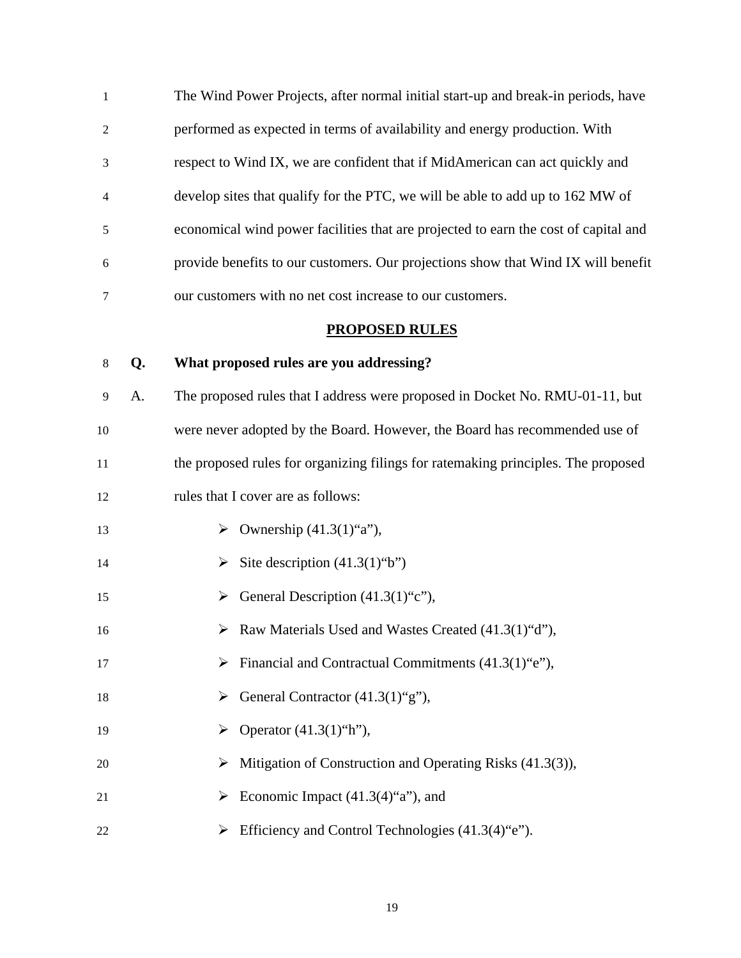| $\mathbf{1}$   | The Wind Power Projects, after normal initial start-up and break-in periods, have   |  |
|----------------|-------------------------------------------------------------------------------------|--|
| 2              | performed as expected in terms of availability and energy production. With          |  |
| 3              | respect to Wind IX, we are confident that if MidAmerican can act quickly and        |  |
| $\overline{4}$ | develop sites that qualify for the PTC, we will be able to add up to 162 MW of      |  |
| 5              | economical wind power facilities that are projected to earn the cost of capital and |  |
| 6              | provide benefits to our customers. Our projections show that Wind IX will benefit   |  |
| 7              | our customers with no net cost increase to our customers.                           |  |

### **PROPOSED RULES**

### 8 **Q. What proposed rules are you addressing?**

9 A. The proposed rules that I address were proposed in Docket No. RMU-01-11, but 10 were never adopted by the Board. However, the Board has recommended use of 11 the proposed rules for organizing filings for ratemaking principles. The proposed 12 rules that I cover are as follows:

- 13  $\rightarrow$  Ownership (41.3(1)"a"),
- 14  $\triangleright$  Site description (41.3(1)"b")
- 15  $\rightarrow$  General Description (41.3(1)"c"),
- 16  $\triangleright$  Raw Materials Used and Wastes Created (41.3(1) "d"),
- 17  $\triangleright$  Financial and Contractual Commitments  $(41.3(1)$ "e"),
- 18  $\triangleright$  General Contractor (41.3(1)"g"),
- 19  $\rightarrow$  Operator (41.3(1)"h"),
- 20  $\triangleright$  Mitigation of Construction and Operating Risks (41.3(3)),
- 21  $\triangleright$  Economic Impact (41.3(4)"a"), and
- 22  $\triangleright$  Efficiency and Control Technologies (41.3(4) "e").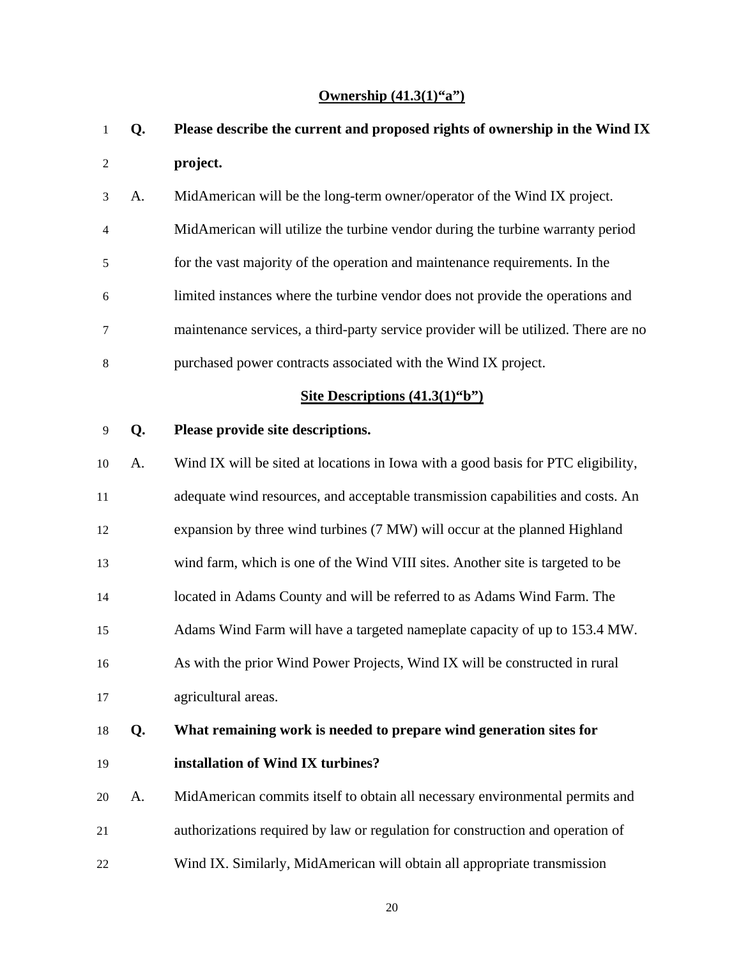## **Ownership (41.3(1)"a")**

| 1              | Q. | Please describe the current and proposed rights of ownership in the Wind IX         |  |
|----------------|----|-------------------------------------------------------------------------------------|--|
| $\overline{2}$ |    | project.                                                                            |  |
| 3              | A. | MidAmerican will be the long-term owner/operator of the Wind IX project.            |  |
| 4              |    | MidAmerican will utilize the turbine vendor during the turbine warranty period      |  |
| 5              |    | for the vast majority of the operation and maintenance requirements. In the         |  |
| 6              |    | limited instances where the turbine vendor does not provide the operations and      |  |
| 7              |    | maintenance services, a third-party service provider will be utilized. There are no |  |
| 8              |    | purchased power contracts associated with the Wind IX project.                      |  |
|                |    | Site Descriptions $(41.3(1)^{6}b^{\prime\prime})$                                   |  |
| 9              | Q. | Please provide site descriptions.                                                   |  |
| 10             | A. | Wind IX will be sited at locations in Iowa with a good basis for PTC eligibility,   |  |
| 11             |    | adequate wind resources, and acceptable transmission capabilities and costs. An     |  |
| 12             |    | expansion by three wind turbines (7 MW) will occur at the planned Highland          |  |
| 13             |    | wind farm, which is one of the Wind VIII sites. Another site is targeted to be      |  |
| 14             |    | located in Adams County and will be referred to as Adams Wind Farm. The             |  |
| 15             |    | Adams Wind Farm will have a targeted nameplate capacity of up to 153.4 MW.          |  |
| 16             |    | As with the prior Wind Power Projects, Wind IX will be constructed in rural         |  |
| 17             |    | agricultural areas.                                                                 |  |
| 18             | Q. | What remaining work is needed to prepare wind generation sites for                  |  |
| 19             |    | installation of Wind IX turbines?                                                   |  |
| 20             | A. | MidAmerican commits itself to obtain all necessary environmental permits and        |  |
| 21             |    | authorizations required by law or regulation for construction and operation of      |  |
| 22             |    | Wind IX. Similarly, MidAmerican will obtain all appropriate transmission            |  |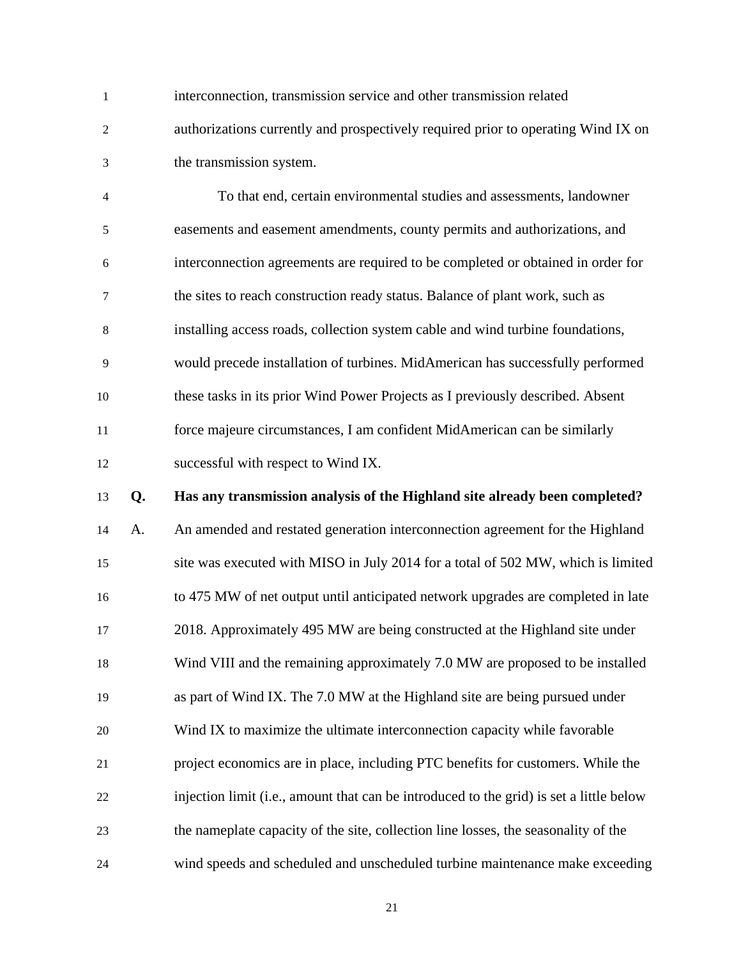1 interconnection, transmission service and other transmission related 2 authorizations currently and prospectively required prior to operating Wind IX on 3 the transmission system.

4 To that end, certain environmental studies and assessments, landowner 5 easements and easement amendments, county permits and authorizations, and 6 interconnection agreements are required to be completed or obtained in order for 7 the sites to reach construction ready status. Balance of plant work, such as 8 installing access roads, collection system cable and wind turbine foundations, 9 would precede installation of turbines. MidAmerican has successfully performed 10 these tasks in its prior Wind Power Projects as I previously described. Absent 11 force majeure circumstances, I am confident MidAmerican can be similarly 12 successful with respect to Wind IX.

### 13 **Q. Has any transmission analysis of the Highland site already been completed?**

14 A. An amended and restated generation interconnection agreement for the Highland 15 site was executed with MISO in July 2014 for a total of 502 MW, which is limited 16 to 475 MW of net output until anticipated network upgrades are completed in late 17 2018. Approximately 495 MW are being constructed at the Highland site under 18 Wind VIII and the remaining approximately 7.0 MW are proposed to be installed 19 as part of Wind IX. The 7.0 MW at the Highland site are being pursued under 20 Wind IX to maximize the ultimate interconnection capacity while favorable 21 project economics are in place, including PTC benefits for customers. While the 22 injection limit (i.e., amount that can be introduced to the grid) is set a little below 23 the nameplate capacity of the site, collection line losses, the seasonality of the 24 wind speeds and scheduled and unscheduled turbine maintenance make exceeding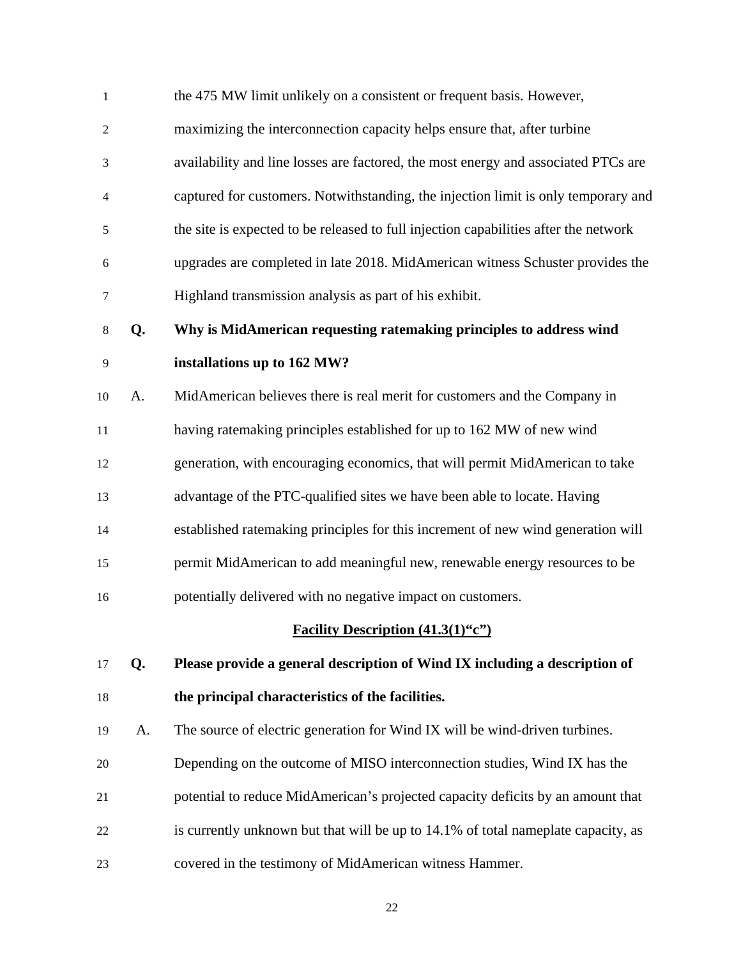| $\mathbf{1}$   |    | the 475 MW limit unlikely on a consistent or frequent basis. However,                |  |
|----------------|----|--------------------------------------------------------------------------------------|--|
| $\overline{2}$ |    | maximizing the interconnection capacity helps ensure that, after turbine             |  |
| 3              |    | availability and line losses are factored, the most energy and associated PTCs are   |  |
| $\overline{4}$ |    | captured for customers. Notwithstanding, the injection limit is only temporary and   |  |
| 5              |    | the site is expected to be released to full injection capabilities after the network |  |
| 6              |    | upgrades are completed in late 2018. MidAmerican witness Schuster provides the       |  |
| 7              |    | Highland transmission analysis as part of his exhibit.                               |  |
| $\,8\,$        | Q. | Why is MidAmerican requesting ratemaking principles to address wind                  |  |
| 9              |    | installations up to 162 MW?                                                          |  |
| 10             | A. | MidAmerican believes there is real merit for customers and the Company in            |  |
| 11             |    | having ratemaking principles established for up to 162 MW of new wind                |  |
| 12             |    | generation, with encouraging economics, that will permit MidAmerican to take         |  |
| 13             |    | advantage of the PTC-qualified sites we have been able to locate. Having             |  |
| 14             |    | established ratemaking principles for this increment of new wind generation will     |  |
| 15             |    | permit MidAmerican to add meaningful new, renewable energy resources to be           |  |
| 16             |    | potentially delivered with no negative impact on customers.                          |  |
|                |    | <b>Facility Description (41.3(1)"c")</b>                                             |  |
| 17             | Q. | Please provide a general description of Wind IX including a description of           |  |
| 18             |    | the principal characteristics of the facilities.                                     |  |
| 19             | A. | The source of electric generation for Wind IX will be wind-driven turbines.          |  |
| 20             |    | Depending on the outcome of MISO interconnection studies, Wind IX has the            |  |
| 21             |    | potential to reduce MidAmerican's projected capacity deficits by an amount that      |  |
| 22             |    | is currently unknown but that will be up to 14.1% of total nameplate capacity, as    |  |
| 23             |    | covered in the testimony of MidAmerican witness Hammer.                              |  |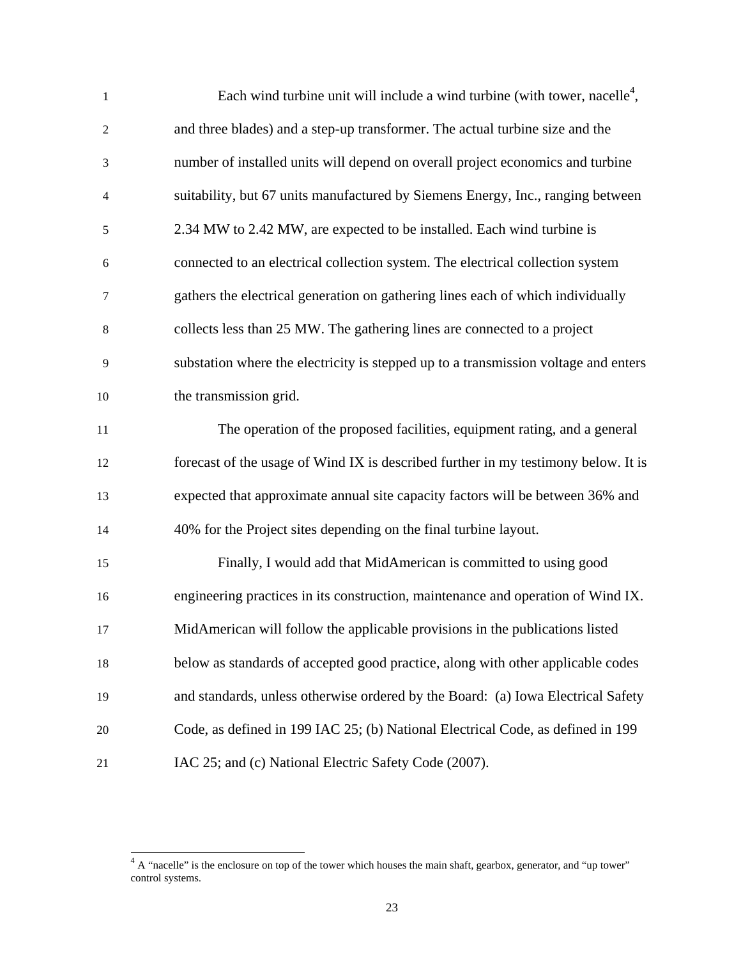| $\mathbf{1}$             | Each wind turbine unit will include a wind turbine (with tower, nacelle <sup>4</sup> , |  |
|--------------------------|----------------------------------------------------------------------------------------|--|
| $\mathfrak{2}$           | and three blades) and a step-up transformer. The actual turbine size and the           |  |
| 3                        | number of installed units will depend on overall project economics and turbine         |  |
| $\overline{\mathcal{A}}$ | suitability, but 67 units manufactured by Siemens Energy, Inc., ranging between        |  |
| $\mathfrak s$            | 2.34 MW to 2.42 MW, are expected to be installed. Each wind turbine is                 |  |
| 6                        | connected to an electrical collection system. The electrical collection system         |  |
| 7                        | gathers the electrical generation on gathering lines each of which individually        |  |
| $8\,$                    | collects less than 25 MW. The gathering lines are connected to a project               |  |
| 9                        | substation where the electricity is stepped up to a transmission voltage and enters    |  |
| 10                       | the transmission grid.                                                                 |  |
| 11                       | The operation of the proposed facilities, equipment rating, and a general              |  |
| 12                       | forecast of the usage of Wind IX is described further in my testimony below. It is     |  |
| 13                       | expected that approximate annual site capacity factors will be between 36% and         |  |
| 14                       | 40% for the Project sites depending on the final turbine layout.                       |  |
| 15                       | Finally, I would add that MidAmerican is committed to using good                       |  |
| 16                       | engineering practices in its construction, maintenance and operation of Wind IX.       |  |
| 17                       | MidAmerican will follow the applicable provisions in the publications listed           |  |
| 18                       | below as standards of accepted good practice, along with other applicable codes        |  |
| 19                       | and standards, unless otherwise ordered by the Board: (a) Iowa Electrical Safety       |  |
| 20                       | Code, as defined in 199 IAC 25; (b) National Electrical Code, as defined in 199        |  |
| 21                       | IAC 25; and (c) National Electric Safety Code (2007).                                  |  |

 $\overline{\phantom{a}}$ 

 $4 \text{ A}$  "nacelle" is the enclosure on top of the tower which houses the main shaft, gearbox, generator, and "up tower" control systems.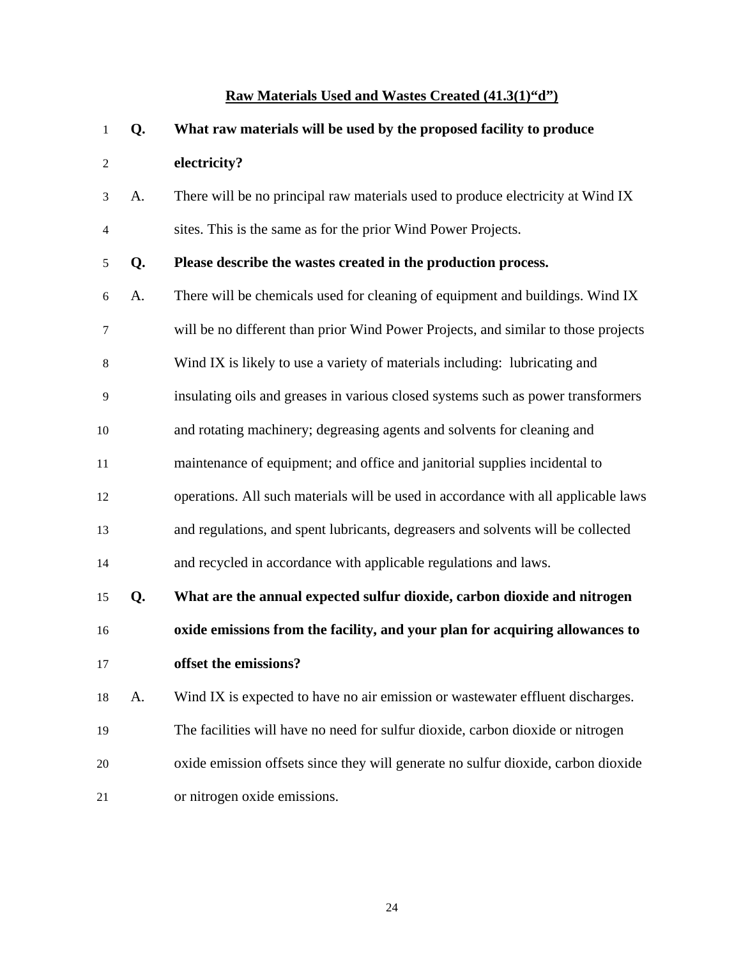## **Raw Materials Used and Wastes Created (41.3(1)"d")**

| 1              | Q. | What raw materials will be used by the proposed facility to produce                |  |
|----------------|----|------------------------------------------------------------------------------------|--|
| $\overline{c}$ |    | electricity?                                                                       |  |
| 3              | A. | There will be no principal raw materials used to produce electricity at Wind IX    |  |
| $\overline{4}$ |    | sites. This is the same as for the prior Wind Power Projects.                      |  |
| 5              | Q. | Please describe the wastes created in the production process.                      |  |
| 6              | A. | There will be chemicals used for cleaning of equipment and buildings. Wind IX      |  |
| 7              |    | will be no different than prior Wind Power Projects, and similar to those projects |  |
| 8              |    | Wind IX is likely to use a variety of materials including: lubricating and         |  |
| 9              |    | insulating oils and greases in various closed systems such as power transformers   |  |
| 10             |    | and rotating machinery; degreasing agents and solvents for cleaning and            |  |
| 11             |    | maintenance of equipment; and office and janitorial supplies incidental to         |  |
| 12             |    | operations. All such materials will be used in accordance with all applicable laws |  |
| 13             |    | and regulations, and spent lubricants, degreasers and solvents will be collected   |  |
| 14             |    | and recycled in accordance with applicable regulations and laws.                   |  |
| 15             | Q. | What are the annual expected sulfur dioxide, carbon dioxide and nitrogen           |  |
| 16             |    | oxide emissions from the facility, and your plan for acquiring allowances to       |  |
| 17             |    | offset the emissions?                                                              |  |
| 18             | A. | Wind IX is expected to have no air emission or wastewater effluent discharges.     |  |
| 19             |    | The facilities will have no need for sulfur dioxide, carbon dioxide or nitrogen    |  |
| 20             |    | oxide emission offsets since they will generate no sulfur dioxide, carbon dioxide  |  |
| 21             |    | or nitrogen oxide emissions.                                                       |  |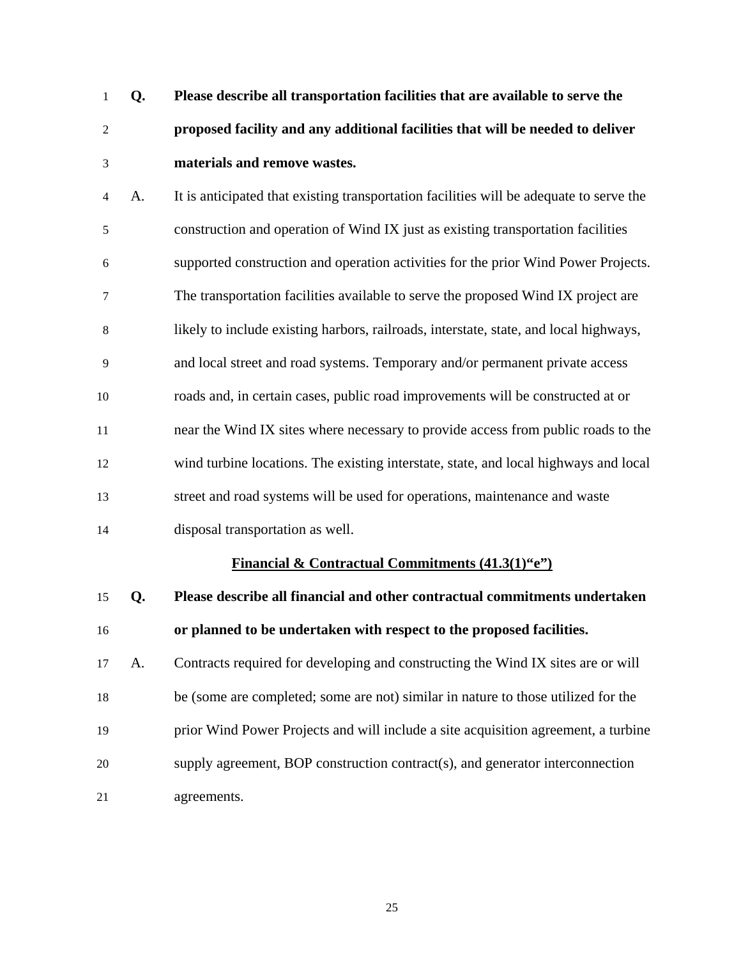- 1 **Q. Please describe all transportation facilities that are available to serve the**  2 **proposed facility and any additional facilities that will be needed to deliver**  3 **materials and remove wastes.**
- 4 A.It is anticipated that existing transportation facilities will be adequate to serve the 5 construction and operation of Wind IX just as existing transportation facilities 6 supported construction and operation activities for the prior Wind Power Projects. 7 The transportation facilities available to serve the proposed Wind IX project are 8 likely to include existing harbors, railroads, interstate, state, and local highways, 9 and local street and road systems. Temporary and/or permanent private access 10 roads and, in certain cases, public road improvements will be constructed at or 11 near the Wind IX sites where necessary to provide access from public roads to the 12 wind turbine locations. The existing interstate, state, and local highways and local 13 street and road systems will be used for operations, maintenance and waste 14 disposal transportation as well.

### **Financial & Contractual Commitments (41.3(1)"e")**

15 **Q. Please describe all financial and other contractual commitments undertaken**  16 **or planned to be undertaken with respect to the proposed facilities.**  17 A. Contracts required for developing and constructing the Wind IX sites are or will 18 be (some are completed; some are not) similar in nature to those utilized for the 19 prior Wind Power Projects and will include a site acquisition agreement, a turbine 20 supply agreement, BOP construction contract(s), and generator interconnection 21 agreements.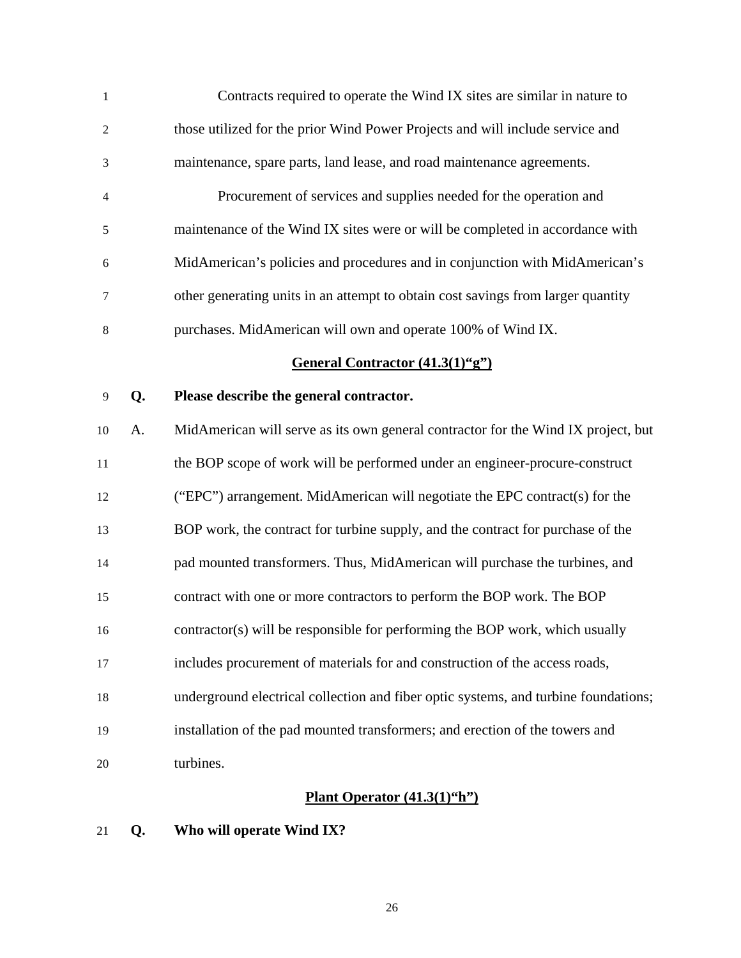| $\mathbf{1}$   |    | Contracts required to operate the Wind IX sites are similar in nature to            |  |
|----------------|----|-------------------------------------------------------------------------------------|--|
| $\overline{c}$ |    | those utilized for the prior Wind Power Projects and will include service and       |  |
| 3              |    | maintenance, spare parts, land lease, and road maintenance agreements.              |  |
| 4              |    | Procurement of services and supplies needed for the operation and                   |  |
| 5              |    | maintenance of the Wind IX sites were or will be completed in accordance with       |  |
| 6              |    | MidAmerican's policies and procedures and in conjunction with MidAmerican's         |  |
| 7              |    | other generating units in an attempt to obtain cost savings from larger quantity    |  |
| 8              |    | purchases. MidAmerican will own and operate 100% of Wind IX.                        |  |
|                |    | General Contractor (41.3(1)"g")                                                     |  |
| 9              | Q. | Please describe the general contractor.                                             |  |
| 10             | А. | MidAmerican will serve as its own general contractor for the Wind IX project, but   |  |
| 11             |    | the BOP scope of work will be performed under an engineer-procure-construct         |  |
| 12             |    | ("EPC") arrangement. MidAmerican will negotiate the EPC contract(s) for the         |  |
| 13             |    | BOP work, the contract for turbine supply, and the contract for purchase of the     |  |
| 14             |    | pad mounted transformers. Thus, MidAmerican will purchase the turbines, and         |  |
| 15             |    | contract with one or more contractors to perform the BOP work. The BOP              |  |
| 16             |    | contractor(s) will be responsible for performing the BOP work, which usually        |  |
| 17             |    | includes procurement of materials for and construction of the access roads,         |  |
| 18             |    | underground electrical collection and fiber optic systems, and turbine foundations; |  |
| 19             |    | installation of the pad mounted transformers; and erection of the towers and        |  |
| 20             |    | turbines.                                                                           |  |
|                |    | Plant Operator $(41.3(1)^{6}h^{\prime\prime})$                                      |  |

21 **Q. Who will operate Wind IX?**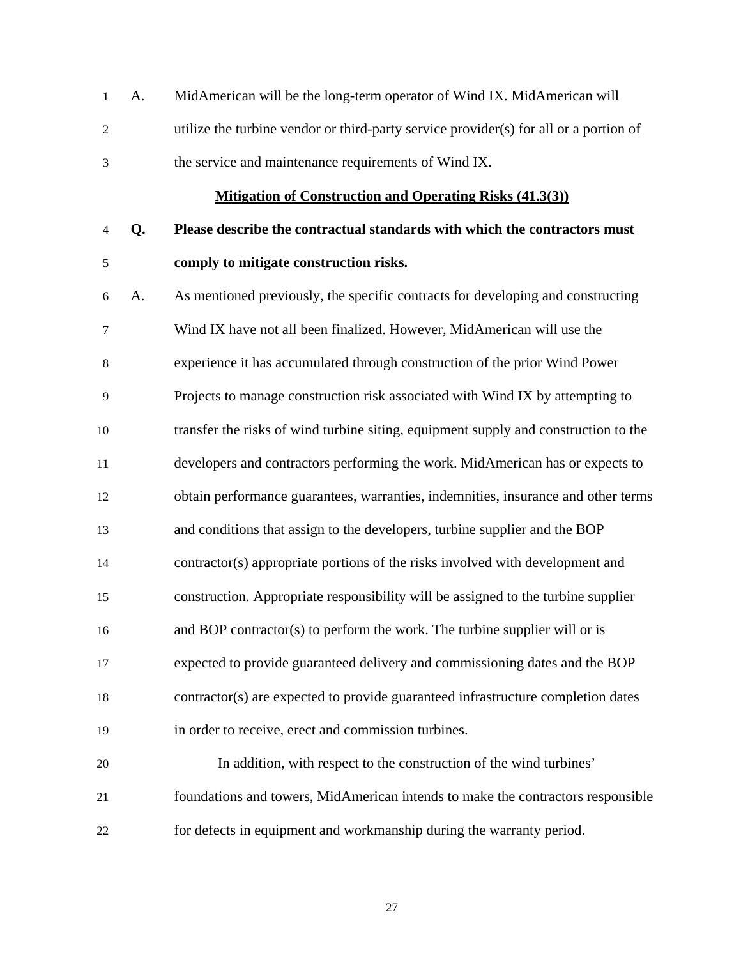1 A. MidAmerican will be the long-term operator of Wind IX. MidAmerican will 2 utilize the turbine vendor or third-party service provider(s) for all or a portion of 3 the service and maintenance requirements of Wind IX.

### **Mitigation of Construction and Operating Risks (41.3(3))**

- 4 **Q. Please describe the contractual standards with which the contractors must**  5 **comply to mitigate construction risks.**
- 6 A. As mentioned previously, the specific contracts for developing and constructing 7 Wind IX have not all been finalized. However, MidAmerican will use the 8 experience it has accumulated through construction of the prior Wind Power 9 Projects to manage construction risk associated with Wind IX by attempting to 10 transfer the risks of wind turbine siting, equipment supply and construction to the 11 developers and contractors performing the work. MidAmerican has or expects to 12 obtain performance guarantees, warranties, indemnities, insurance and other terms 13 and conditions that assign to the developers, turbine supplier and the BOP 14 contractor(s) appropriate portions of the risks involved with development and 15 construction. Appropriate responsibility will be assigned to the turbine supplier 16 and BOP contractor(s) to perform the work. The turbine supplier will or is 17 expected to provide guaranteed delivery and commissioning dates and the BOP 18 contractor(s) are expected to provide guaranteed infrastructure completion dates 19 in order to receive, erect and commission turbines.
- 20 In addition, with respect to the construction of the wind turbines' 21 foundations and towers, MidAmerican intends to make the contractors responsible 22 for defects in equipment and workmanship during the warranty period.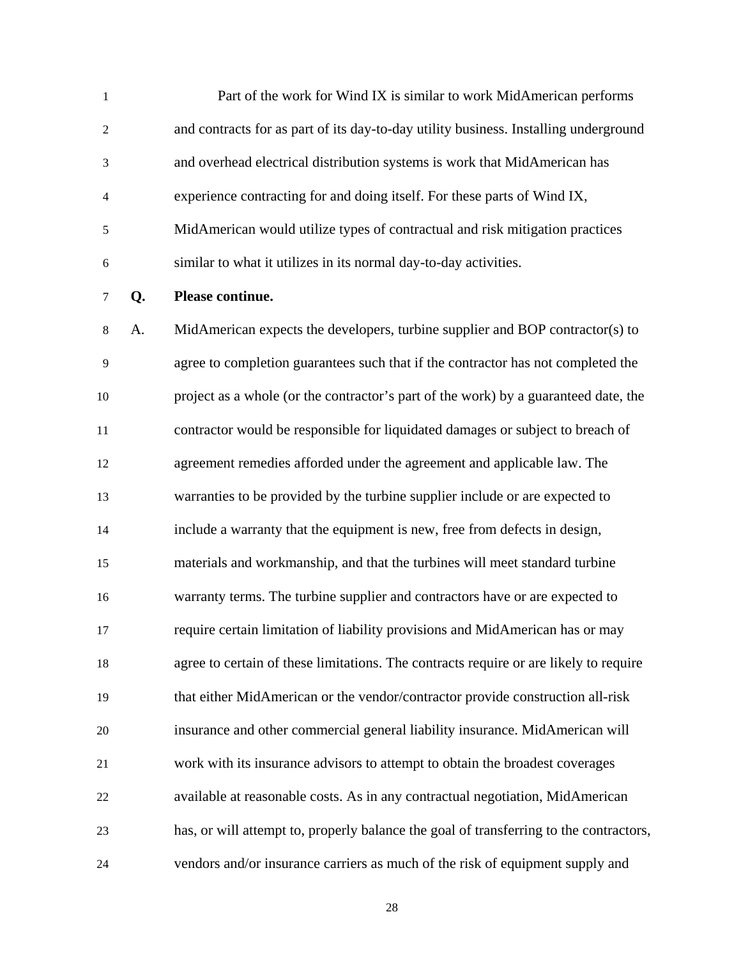1 Part of the work for Wind IX is similar to work MidAmerican performs 2 and contracts for as part of its day-to-day utility business. Installing underground 3 and overhead electrical distribution systems is work that MidAmerican has 4 experience contracting for and doing itself. For these parts of Wind IX, 5 MidAmerican would utilize types of contractual and risk mitigation practices 6 similar to what it utilizes in its normal day-to-day activities.

7 **Q. Please continue.** 

8 A. MidAmerican expects the developers, turbine supplier and BOP contractor(s) to 9 agree to completion guarantees such that if the contractor has not completed the 10 project as a whole (or the contractor's part of the work) by a guaranteed date, the 11 contractor would be responsible for liquidated damages or subject to breach of 12 agreement remedies afforded under the agreement and applicable law. The 13 warranties to be provided by the turbine supplier include or are expected to 14 include a warranty that the equipment is new, free from defects in design, 15 materials and workmanship, and that the turbines will meet standard turbine 16 warranty terms. The turbine supplier and contractors have or are expected to 17 require certain limitation of liability provisions and MidAmerican has or may 18 agree to certain of these limitations. The contracts require or are likely to require 19 that either MidAmerican or the vendor/contractor provide construction all-risk 20 insurance and other commercial general liability insurance. MidAmerican will 21 work with its insurance advisors to attempt to obtain the broadest coverages 22 available at reasonable costs. As in any contractual negotiation, MidAmerican 23 has, or will attempt to, properly balance the goal of transferring to the contractors, 24 vendors and/or insurance carriers as much of the risk of equipment supply and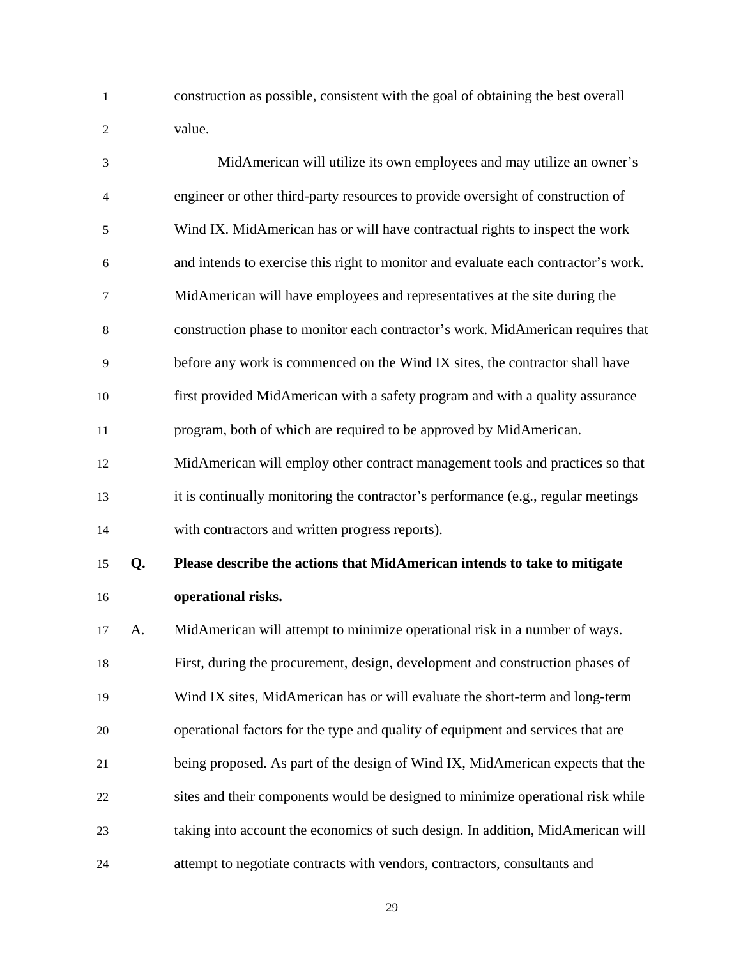1 construction as possible, consistent with the goal of obtaining the best overall 2 value.

| $\mathfrak{Z}$ |    | MidAmerican will utilize its own employees and may utilize an owner's              |
|----------------|----|------------------------------------------------------------------------------------|
| $\overline{4}$ |    | engineer or other third-party resources to provide oversight of construction of    |
| $\mathfrak s$  |    | Wind IX. MidAmerican has or will have contractual rights to inspect the work       |
| 6              |    | and intends to exercise this right to monitor and evaluate each contractor's work. |
| 7              |    | MidAmerican will have employees and representatives at the site during the         |
| 8              |    | construction phase to monitor each contractor's work. MidAmerican requires that    |
| 9              |    | before any work is commenced on the Wind IX sites, the contractor shall have       |
| 10             |    | first provided MidAmerican with a safety program and with a quality assurance      |
| 11             |    | program, both of which are required to be approved by MidAmerican.                 |
| 12             |    | MidAmerican will employ other contract management tools and practices so that      |
| 13             |    | it is continually monitoring the contractor's performance (e.g., regular meetings  |
| 14             |    | with contractors and written progress reports).                                    |
| 15             | Q. | Please describe the actions that MidAmerican intends to take to mitigate           |
| 16             |    | operational risks.                                                                 |
| 17             | A. | MidAmerican will attempt to minimize operational risk in a number of ways.         |
| 18             |    | First, during the procurement, design, development and construction phases of      |
| 19             |    | Wind IX sites, MidAmerican has or will evaluate the short-term and long-term       |
| 20             |    | operational factors for the type and quality of equipment and services that are    |
| 21             |    | being proposed. As part of the design of Wind IX, MidAmerican expects that the     |
| 22             |    | sites and their components would be designed to minimize operational risk while    |
| 23             |    | taking into account the economics of such design. In addition, MidAmerican will    |
|                |    |                                                                                    |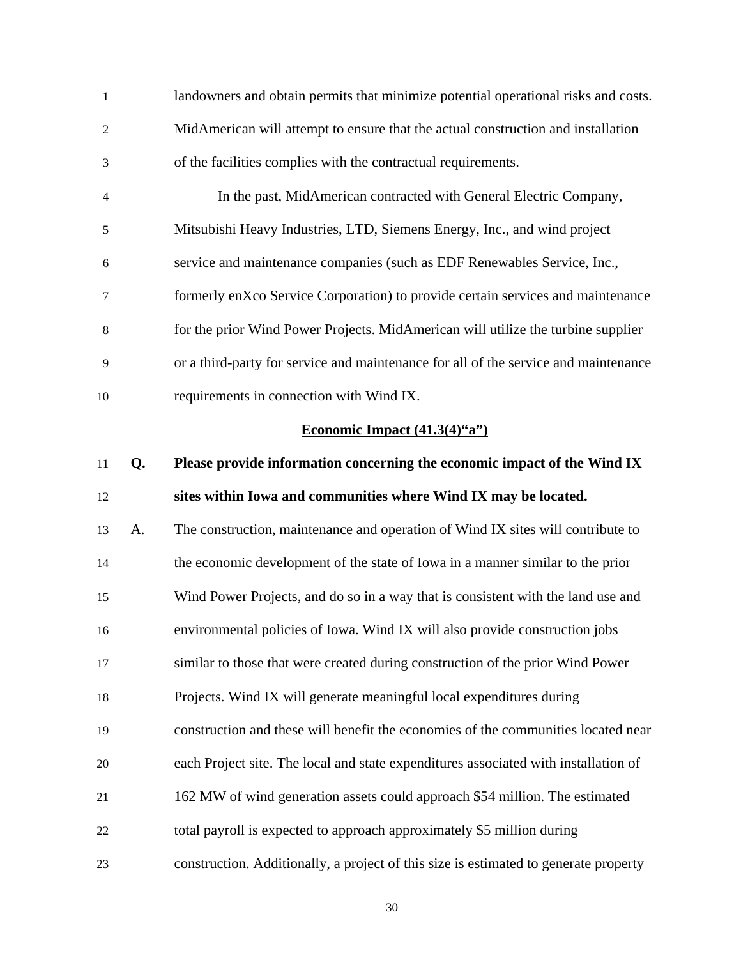| 1            |    | landowners and obtain permits that minimize potential operational risks and costs.  |
|--------------|----|-------------------------------------------------------------------------------------|
| $\mathbf{2}$ |    | MidAmerican will attempt to ensure that the actual construction and installation    |
| 3            |    | of the facilities complies with the contractual requirements.                       |
| 4            |    | In the past, MidAmerican contracted with General Electric Company,                  |
| 5            |    | Mitsubishi Heavy Industries, LTD, Siemens Energy, Inc., and wind project            |
| 6            |    | service and maintenance companies (such as EDF Renewables Service, Inc.,            |
| $\tau$       |    | formerly enXco Service Corporation) to provide certain services and maintenance     |
| $\,8\,$      |    | for the prior Wind Power Projects. MidAmerican will utilize the turbine supplier    |
| 9            |    | or a third-party for service and maintenance for all of the service and maintenance |
| 10           |    | requirements in connection with Wind IX.                                            |
|              |    | Economic Impact $(41.3(4)^{6}a^{\prime\prime})$                                     |
|              |    |                                                                                     |
| 11           | Q. | Please provide information concerning the economic impact of the Wind IX            |
| 12           |    | sites within Iowa and communities where Wind IX may be located.                     |
| 13           | A. | The construction, maintenance and operation of Wind IX sites will contribute to     |
| 14           |    | the economic development of the state of Iowa in a manner similar to the prior      |
| 15           |    | Wind Power Projects, and do so in a way that is consistent with the land use and    |
|              |    | environmental policies of Iowa. Wind IX will also provide construction jobs         |
| 17           |    | similar to those that were created during construction of the prior Wind Power      |
| 18           |    | Projects. Wind IX will generate meaningful local expenditures during                |
| 19           |    | construction and these will benefit the economies of the communities located near   |
| 20           |    | each Project site. The local and state expenditures associated with installation of |
| 16<br>21     |    | 162 MW of wind generation assets could approach \$54 million. The estimated         |
| 22           |    | total payroll is expected to approach approximately \$5 million during              |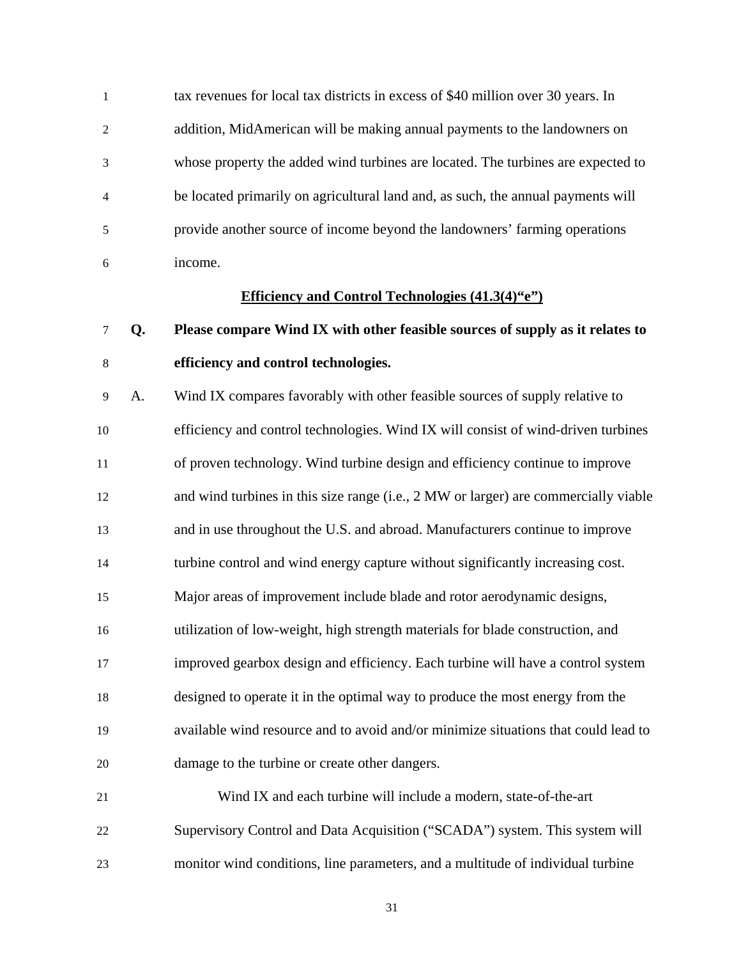1 tax revenues for local tax districts in excess of \$40 million over 30 years. In 2 addition, MidAmerican will be making annual payments to the landowners on 3 whose property the added wind turbines are located. The turbines are expected to 4 be located primarily on agricultural land and, as such, the annual payments will 5 provide another source of income beyond the landowners' farming operations 6 income.

### **Efficiency and Control Technologies (41.3(4)"e")**

# 7 **Q. Please compare Wind IX with other feasible sources of supply as it relates to**  8 **efficiency and control technologies.**

9 A. Wind IX compares favorably with other feasible sources of supply relative to 10 efficiency and control technologies. Wind IX will consist of wind-driven turbines 11 of proven technology. Wind turbine design and efficiency continue to improve 12 and wind turbines in this size range (i.e., 2 MW or larger) are commercially viable 13 and in use throughout the U.S. and abroad. Manufacturers continue to improve 14 turbine control and wind energy capture without significantly increasing cost. 15 Major areas of improvement include blade and rotor aerodynamic designs, 16 utilization of low-weight, high strength materials for blade construction, and 17 improved gearbox design and efficiency. Each turbine will have a control system 18 designed to operate it in the optimal way to produce the most energy from the 19 available wind resource and to avoid and/or minimize situations that could lead to 20 damage to the turbine or create other dangers. 21 Wind IX and each turbine will include a modern, state-of-the-art

22 Supervisory Control and Data Acquisition ("SCADA") system. This system will 23 monitor wind conditions, line parameters, and a multitude of individual turbine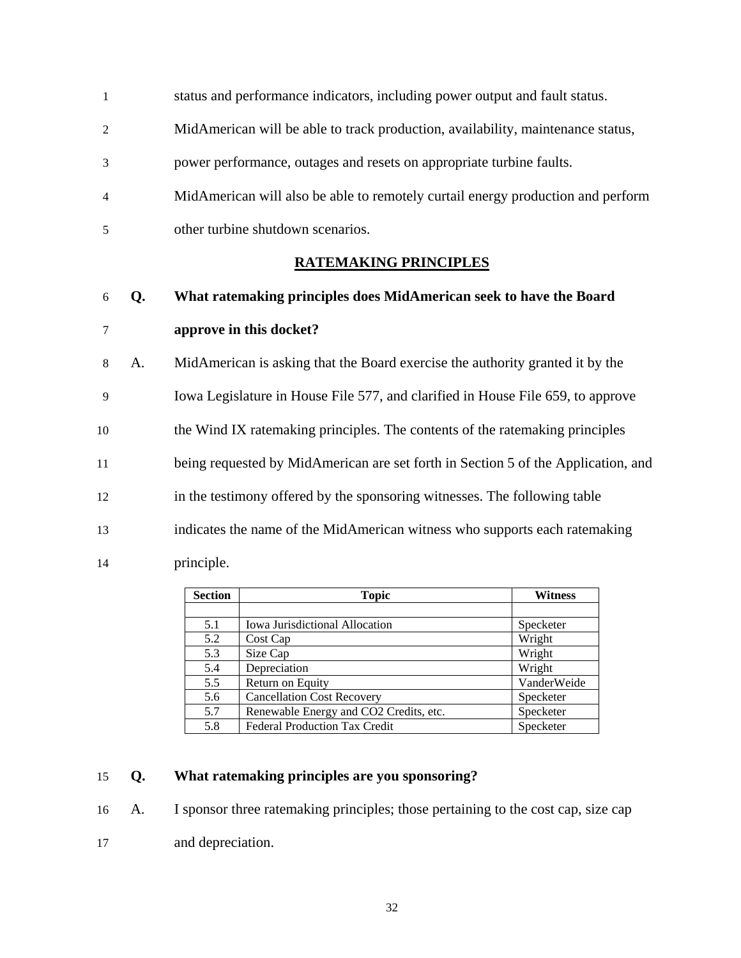- 1 status and performance indicators, including power output and fault status.
- 2 MidAmerican will be able to track production, availability, maintenance status,
- 3 power performance, outages and resets on appropriate turbine faults.
- 4 MidAmerican will also be able to remotely curtail energy production and perform 5 other turbine shutdown scenarios.
- 

## **RATEMAKING PRINCIPLES**

- 6 **Q. What ratemaking principles does MidAmerican seek to have the Board**  7 **approve in this docket?**
- 8 A. MidAmerican is asking that the Board exercise the authority granted it by the 9 Iowa Legislature in House File 577, and clarified in House File 659, to approve 10 the Wind IX ratemaking principles. The contents of the ratemaking principles 11 being requested by MidAmerican are set forth in Section 5 of the Application, and 12 in the testimony offered by the sponsoring witnesses. The following table 13 indicates the name of the MidAmerican witness who supports each ratemaking 14 principle.

| <b>Section</b> | <b>Topic</b>                           | <b>Witness</b> |
|----------------|----------------------------------------|----------------|
|                |                                        |                |
| 5.1            | Iowa Jurisdictional Allocation         | Specketer      |
| 5.2            | Cost Cap                               | Wright         |
| 5.3            | Size Cap                               | Wright         |
| 5.4            | Depreciation                           | Wright         |
| 5.5            | Return on Equity                       | VanderWeide    |
| 5.6            | <b>Cancellation Cost Recovery</b>      | Specketer      |
| 5.7            | Renewable Energy and CO2 Credits, etc. | Specketer      |
| 5.8            | <b>Federal Production Tax Credit</b>   | Specketer      |

### 15 **Q. What ratemaking principles are you sponsoring?**

- 16 A. I sponsor three ratemaking principles; those pertaining to the cost cap, size cap
- 17 and depreciation.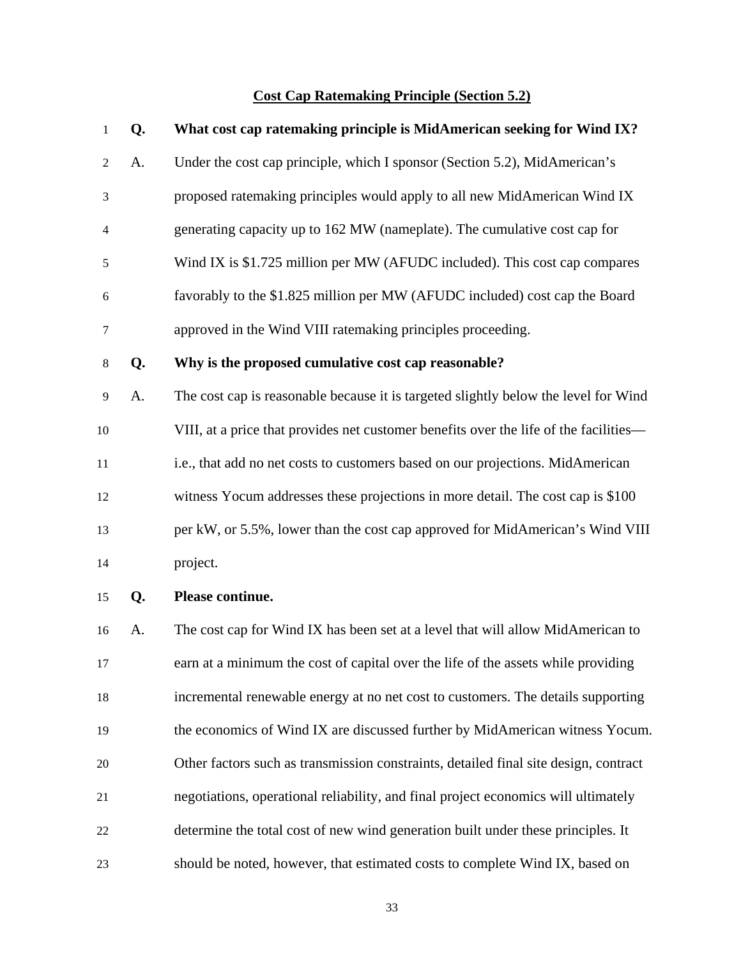## **Cost Cap Ratemaking Principle (Section 5.2)**

| 1              | Q. | What cost cap ratemaking principle is MidAmerican seeking for Wind IX?                |  |  |
|----------------|----|---------------------------------------------------------------------------------------|--|--|
| $\overline{c}$ | A. | Under the cost cap principle, which I sponsor (Section 5.2), MidAmerican's            |  |  |
| 3              |    | proposed ratemaking principles would apply to all new MidAmerican Wind IX             |  |  |
| 4              |    | generating capacity up to 162 MW (nameplate). The cumulative cost cap for             |  |  |
| 5              |    | Wind IX is \$1.725 million per MW (AFUDC included). This cost cap compares            |  |  |
| 6              |    | favorably to the \$1.825 million per MW (AFUDC included) cost cap the Board           |  |  |
| 7              |    | approved in the Wind VIII ratemaking principles proceeding.                           |  |  |
| $8\,$          | Q. | Why is the proposed cumulative cost cap reasonable?                                   |  |  |
| 9              | А. | The cost cap is reasonable because it is targeted slightly below the level for Wind   |  |  |
| 10             |    | VIII, at a price that provides net customer benefits over the life of the facilities— |  |  |
| 11             |    | i.e., that add no net costs to customers based on our projections. MidAmerican        |  |  |
| 12             |    | witness Yocum addresses these projections in more detail. The cost cap is \$100       |  |  |
| 13             |    | per kW, or 5.5%, lower than the cost cap approved for MidAmerican's Wind VIII         |  |  |
| 14             |    | project.                                                                              |  |  |
| 15             | Q. | Please continue.                                                                      |  |  |
| 16             | A. | The cost cap for Wind IX has been set at a level that will allow MidAmerican to       |  |  |
| 17             |    | earn at a minimum the cost of capital over the life of the assets while providing     |  |  |
| 18             |    | incremental renewable energy at no net cost to customers. The details supporting      |  |  |
| 19             |    | the economics of Wind IX are discussed further by MidAmerican witness Yocum.          |  |  |
| 20             |    | Other factors such as transmission constraints, detailed final site design, contract  |  |  |
| 21             |    | negotiations, operational reliability, and final project economics will ultimately    |  |  |
| 22             |    | determine the total cost of new wind generation built under these principles. It      |  |  |
| 23             |    | should be noted, however, that estimated costs to complete Wind IX, based on          |  |  |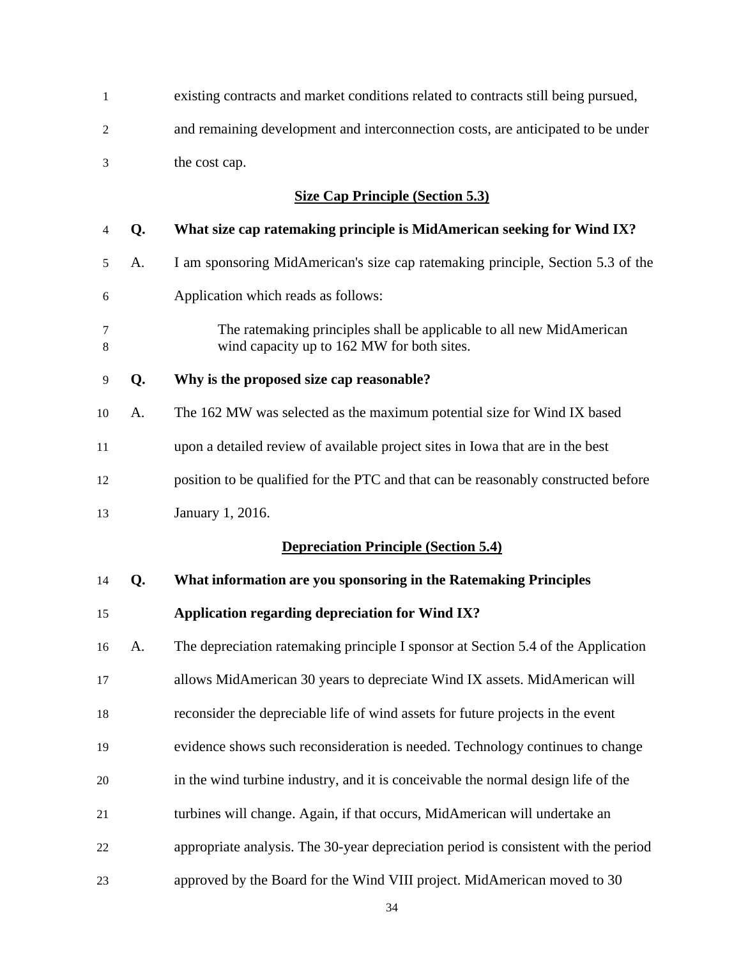| 1                                       |    | existing contracts and market conditions related to contracts still being pursued,                                 |  |  |  |  |
|-----------------------------------------|----|--------------------------------------------------------------------------------------------------------------------|--|--|--|--|
| $\overline{c}$                          |    | and remaining development and interconnection costs, are anticipated to be under                                   |  |  |  |  |
| 3                                       |    | the cost cap.                                                                                                      |  |  |  |  |
| <b>Size Cap Principle (Section 5.3)</b> |    |                                                                                                                    |  |  |  |  |
| 4                                       | Q. | What size cap ratemaking principle is MidAmerican seeking for Wind IX?                                             |  |  |  |  |
| 5                                       | А. | I am sponsoring MidAmerican's size cap ratemaking principle, Section 5.3 of the                                    |  |  |  |  |
| 6                                       |    | Application which reads as follows:                                                                                |  |  |  |  |
| 7<br>8                                  |    | The ratemaking principles shall be applicable to all new MidAmerican<br>wind capacity up to 162 MW for both sites. |  |  |  |  |
| 9                                       | Q. | Why is the proposed size cap reasonable?                                                                           |  |  |  |  |
| 10                                      | А. | The 162 MW was selected as the maximum potential size for Wind IX based                                            |  |  |  |  |
| 11                                      |    | upon a detailed review of available project sites in Iowa that are in the best                                     |  |  |  |  |
| 12                                      |    | position to be qualified for the PTC and that can be reasonably constructed before                                 |  |  |  |  |
| 13                                      |    | January 1, 2016.                                                                                                   |  |  |  |  |
|                                         |    | <b>Depreciation Principle (Section 5.4)</b>                                                                        |  |  |  |  |
| 14                                      | Q. | What information are you sponsoring in the Ratemaking Principles                                                   |  |  |  |  |
| 15                                      |    | Application regarding depreciation for Wind IX?                                                                    |  |  |  |  |
| 16                                      | A. | The depreciation ratemaking principle I sponsor at Section 5.4 of the Application                                  |  |  |  |  |
| 17                                      |    | allows MidAmerican 30 years to depreciate Wind IX assets. MidAmerican will                                         |  |  |  |  |
| 18                                      |    | reconsider the depreciable life of wind assets for future projects in the event                                    |  |  |  |  |
| 19                                      |    | evidence shows such reconsideration is needed. Technology continues to change                                      |  |  |  |  |
| 20                                      |    | in the wind turbine industry, and it is conceivable the normal design life of the                                  |  |  |  |  |
| 21                                      |    | turbines will change. Again, if that occurs, MidAmerican will undertake an                                         |  |  |  |  |
| 22                                      |    | appropriate analysis. The 30-year depreciation period is consistent with the period                                |  |  |  |  |
| 23                                      |    | approved by the Board for the Wind VIII project. MidAmerican moved to 30                                           |  |  |  |  |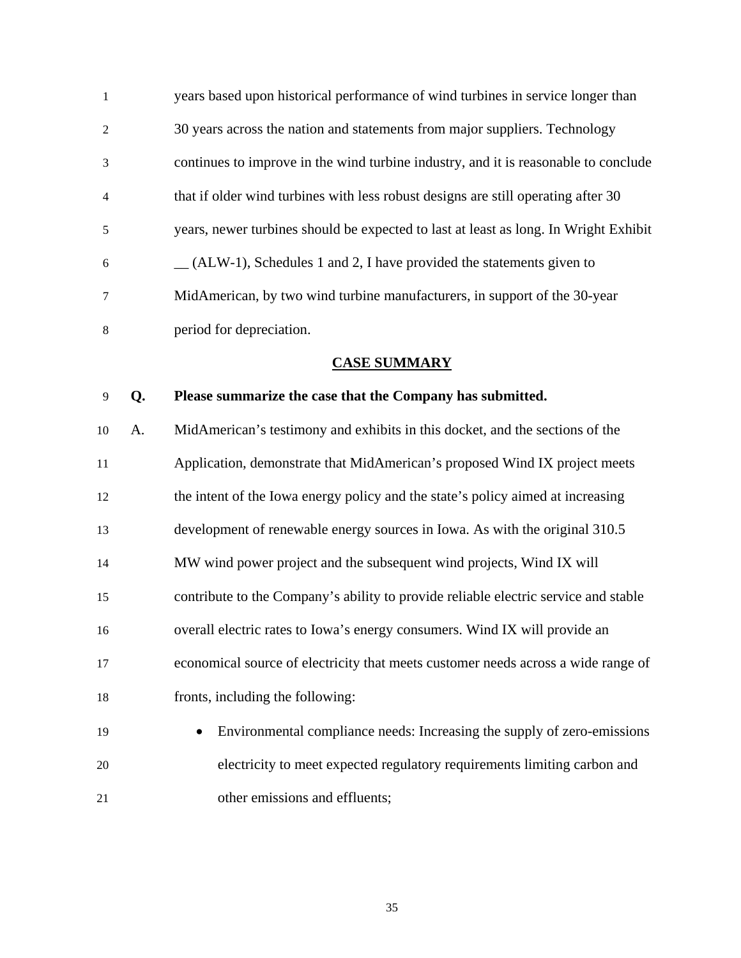1 years based upon historical performance of wind turbines in service longer than 2 30 years across the nation and statements from major suppliers. Technology 3 continues to improve in the wind turbine industry, and it is reasonable to conclude 4 that if older wind turbines with less robust designs are still operating after 30 5 years, newer turbines should be expected to last at least as long. In Wright Exhibit  $6 \qquad \qquad \_ (ALW-1)$ , Schedules 1 and 2, I have provided the statements given to 7 MidAmerican, by two wind turbine manufacturers, in support of the 30-year 8 period for depreciation.

### **CASE SUMMARY**

### 9 **Q. Please summarize the case that the Company has submitted.**

10 A. MidAmerican's testimony and exhibits in this docket, and the sections of the 11 Application, demonstrate that MidAmerican's proposed Wind IX project meets 12 the intent of the Iowa energy policy and the state's policy aimed at increasing 13 development of renewable energy sources in Iowa. As with the original 310.5 14 MW wind power project and the subsequent wind projects, Wind IX will 15 contribute to the Company's ability to provide reliable electric service and stable 16 overall electric rates to Iowa's energy consumers. Wind IX will provide an 17 economical source of electricity that meets customer needs across a wide range of 18 fronts, including the following:

19 • Environmental compliance needs: Increasing the supply of zero-emissions 20 electricity to meet expected regulatory requirements limiting carbon and 21 other emissions and effluents;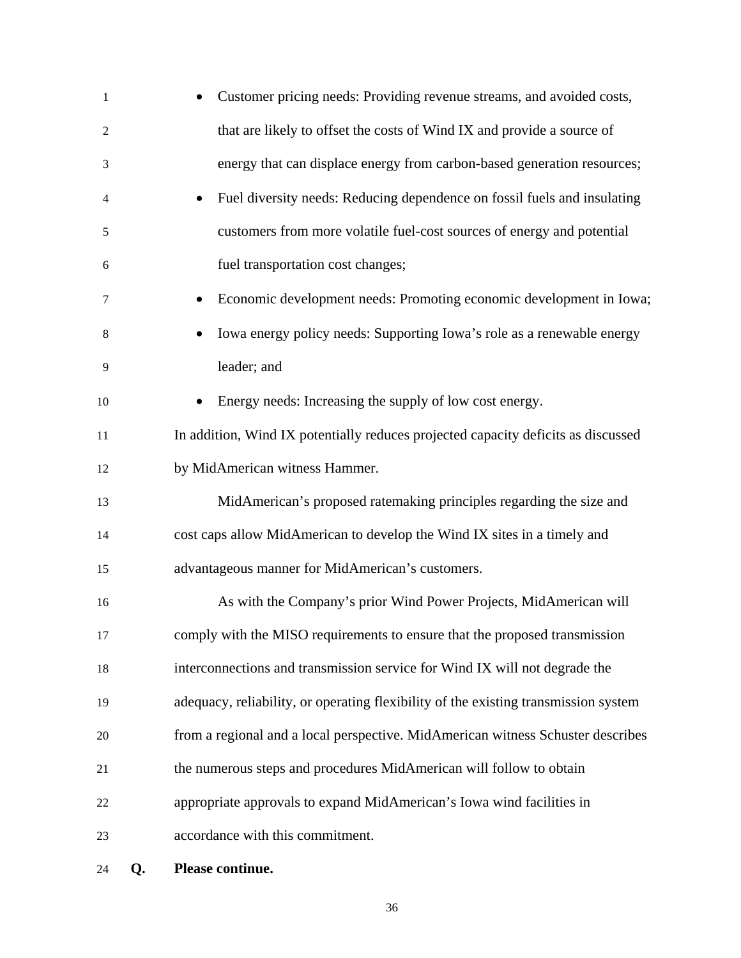| 1              | Customer pricing needs: Providing revenue streams, and avoided costs,               |
|----------------|-------------------------------------------------------------------------------------|
| $\overline{c}$ | that are likely to offset the costs of Wind IX and provide a source of              |
| 3              | energy that can displace energy from carbon-based generation resources;             |
| 4              | Fuel diversity needs: Reducing dependence on fossil fuels and insulating            |
| 5              | customers from more volatile fuel-cost sources of energy and potential              |
| 6              | fuel transportation cost changes;                                                   |
| 7              | Economic development needs: Promoting economic development in Iowa;                 |
| 8              | Iowa energy policy needs: Supporting Iowa's role as a renewable energy              |
| 9              | leader; and                                                                         |
| 10             | Energy needs: Increasing the supply of low cost energy.                             |
| 11             | In addition, Wind IX potentially reduces projected capacity deficits as discussed   |
| 12             | by MidAmerican witness Hammer.                                                      |
| 13             | MidAmerican's proposed ratemaking principles regarding the size and                 |
| 14             | cost caps allow MidAmerican to develop the Wind IX sites in a timely and            |
| 15             | advantageous manner for MidAmerican's customers.                                    |
| 16             | As with the Company's prior Wind Power Projects, MidAmerican will                   |
| 17             | comply with the MISO requirements to ensure that the proposed transmission          |
| 18             | interconnections and transmission service for Wind IX will not degrade the          |
| 19             | adequacy, reliability, or operating flexibility of the existing transmission system |
| 20             | from a regional and a local perspective. MidAmerican witness Schuster describes     |
| 21             | the numerous steps and procedures MidAmerican will follow to obtain                 |
| 22             | appropriate approvals to expand MidAmerican's Iowa wind facilities in               |
| 23             | accordance with this commitment.                                                    |
|                |                                                                                     |

24 **Q. Please continue.**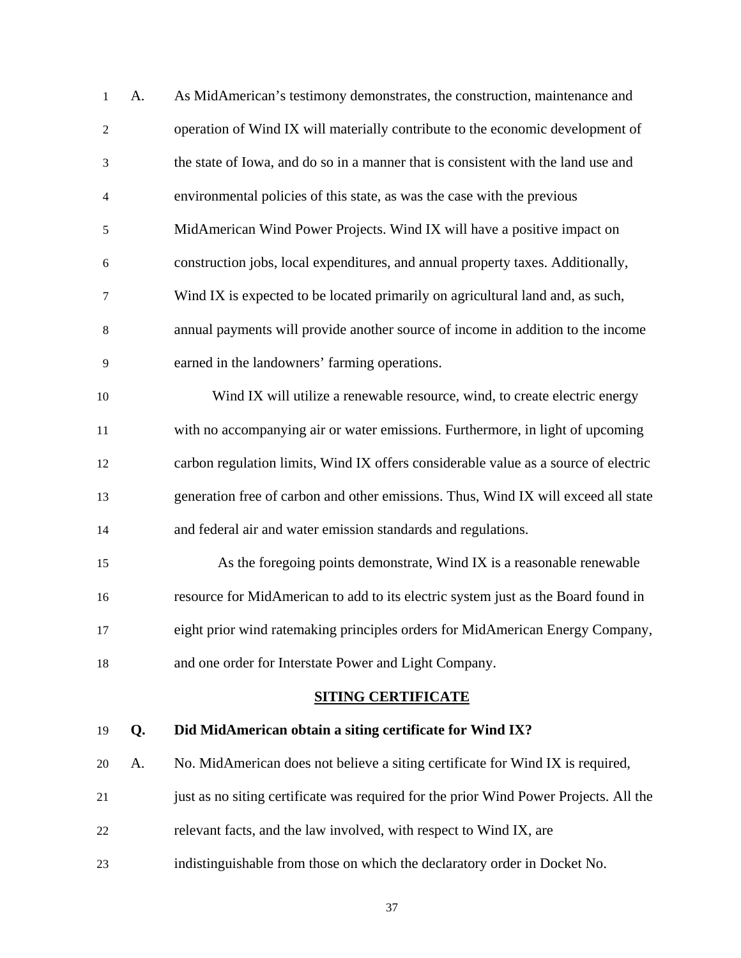| 1              | A. | As MidAmerican's testimony demonstrates, the construction, maintenance and            |
|----------------|----|---------------------------------------------------------------------------------------|
| $\sqrt{2}$     |    | operation of Wind IX will materially contribute to the economic development of        |
| $\mathfrak{Z}$ |    | the state of Iowa, and do so in a manner that is consistent with the land use and     |
| $\overline{4}$ |    | environmental policies of this state, as was the case with the previous               |
| 5              |    | MidAmerican Wind Power Projects. Wind IX will have a positive impact on               |
| 6              |    | construction jobs, local expenditures, and annual property taxes. Additionally,       |
| $\tau$         |    | Wind IX is expected to be located primarily on agricultural land and, as such,        |
| 8              |    | annual payments will provide another source of income in addition to the income       |
| 9              |    | earned in the landowners' farming operations.                                         |
| 10             |    | Wind IX will utilize a renewable resource, wind, to create electric energy            |
| 11             |    | with no accompanying air or water emissions. Furthermore, in light of upcoming        |
| 12             |    | carbon regulation limits, Wind IX offers considerable value as a source of electric   |
| 13             |    | generation free of carbon and other emissions. Thus, Wind IX will exceed all state    |
| 14             |    | and federal air and water emission standards and regulations.                         |
| 15             |    | As the foregoing points demonstrate, Wind IX is a reasonable renewable                |
| 16             |    | resource for MidAmerican to add to its electric system just as the Board found in     |
| 17             |    | eight prior wind ratemaking principles orders for MidAmerican Energy Company,         |
| 18             |    | and one order for Interstate Power and Light Company.                                 |
|                |    | <b>SITING CERTIFICATE</b>                                                             |
| 19             | Q. | Did MidAmerican obtain a siting certificate for Wind IX?                              |
| 20             | A. | No. MidAmerican does not believe a siting certificate for Wind IX is required,        |
| 21             |    | just as no siting certificate was required for the prior Wind Power Projects. All the |
| 22             |    | relevant facts, and the law involved, with respect to Wind IX, are                    |
| 23             |    | indistinguishable from those on which the declaratory order in Docket No.             |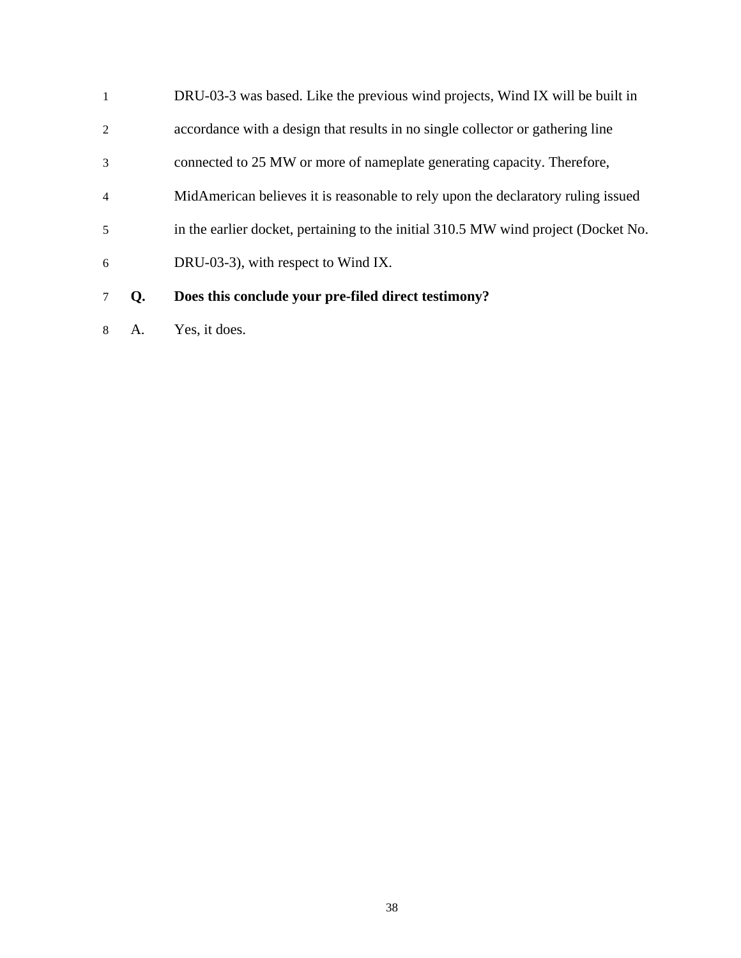|                | Does this conclude your pre-filed direct testimony?                                |
|----------------|------------------------------------------------------------------------------------|
| 6              | DRU-03-3), with respect to Wind IX.                                                |
| 5              | in the earlier docket, pertaining to the initial 310.5 MW wind project (Docket No. |
| $\overline{4}$ | MidAmerican believes it is reasonable to rely upon the declaratory ruling issued   |
| 3              | connected to 25 MW or more of nameplate generating capacity. Therefore,            |
| 2              | accordance with a design that results in no single collector or gathering line     |
| -1             | DRU-03-3 was based. Like the previous wind projects, Wind IX will be built in      |

8 A. Yes, it does.